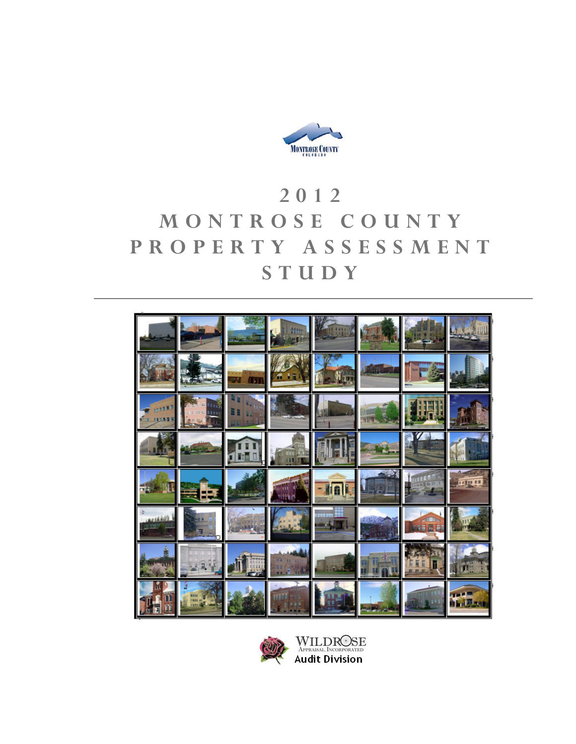

# **2012 MONTROSE COUNTY PROPERTY ASSESSMENT STUDY**





WILDROSE<br>APPRAISAL INCORPORATED<br>Audit Division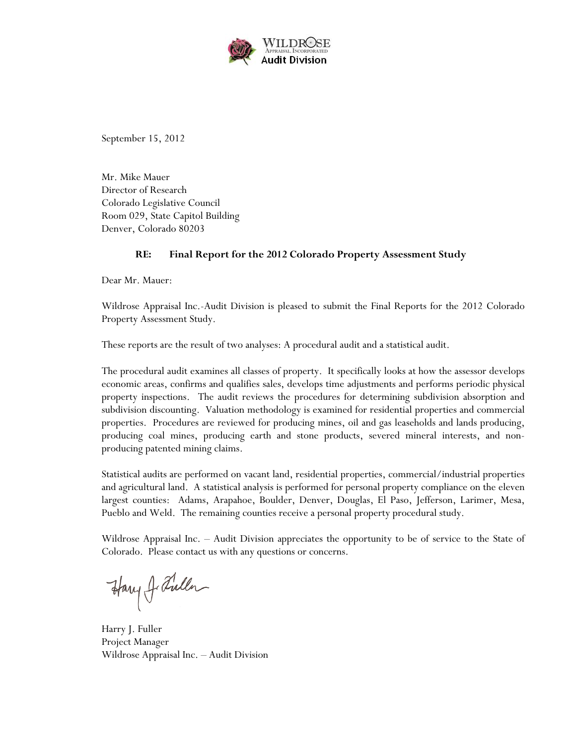

September 15, 2012

Mr. Mike Mauer Director of Research Colorado Legislative Council Room 029, State Capitol Building Denver, Colorado 80203

#### **RE: Final Report for the 2012 Colorado Property Assessment Study**

Dear Mr. Mauer:

Wildrose Appraisal Inc.-Audit Division is pleased to submit the Final Reports for the 2012 Colorado Property Assessment Study.

These reports are the result of two analyses: A procedural audit and a statistical audit.

The procedural audit examines all classes of property. It specifically looks at how the assessor develops economic areas, confirms and qualifies sales, develops time adjustments and performs periodic physical property inspections. The audit reviews the procedures for determining subdivision absorption and subdivision discounting. Valuation methodology is examined for residential properties and commercial properties. Procedures are reviewed for producing mines, oil and gas leaseholds and lands producing, producing coal mines, producing earth and stone products, severed mineral interests, and nonproducing patented mining claims.

Statistical audits are performed on vacant land, residential properties, commercial/industrial properties and agricultural land. A statistical analysis is performed for personal property compliance on the eleven largest counties: Adams, Arapahoe, Boulder, Denver, Douglas, El Paso, Jefferson, Larimer, Mesa, Pueblo and Weld. The remaining counties receive a personal property procedural study.

Wildrose Appraisal Inc. – Audit Division appreciates the opportunity to be of service to the State of Colorado. Please contact us with any questions or concerns.

Harry J. Fuller

Harry J. Fuller Project Manager Wildrose Appraisal Inc. – Audit Division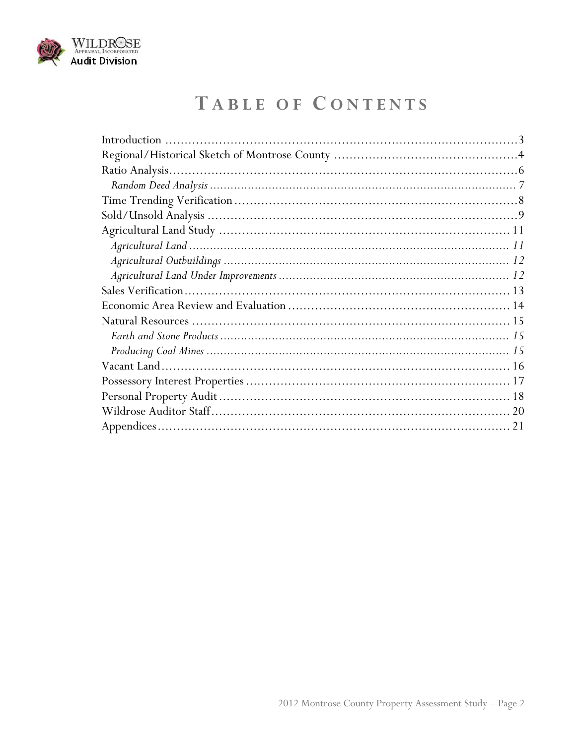

# TABLE OF CONTENTS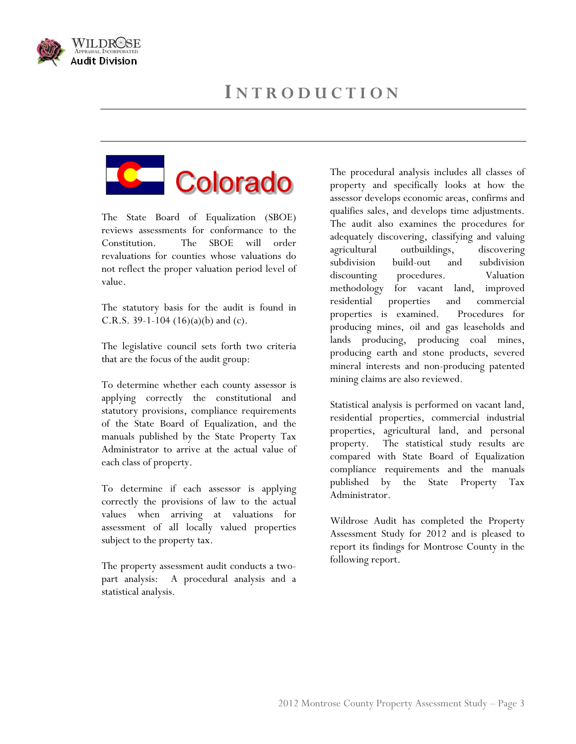

<span id="page-3-0"></span>



The State Board of Equalization (SBOE) reviews assessments for conformance to the Constitution. The SBOE will order revaluations for counties whose valuations do not reflect the proper valuation period level of value.

The statutory basis for the audit is found in C.R.S. 39-1-104  $(16)(a)(b)$  and  $(c)$ .

The legislative council sets forth two criteria that are the focus of the audit group:

To determine whether each county assessor is applying correctly the constitutional and statutory provisions, compliance requirements of the State Board of Equalization, and the manuals published by the State Property Tax Administrator to arrive at the actual value of each class of property.

To determine if each assessor is applying a reduction of  $\frac{1}{2}$ . correctly the provisions of law to the actual values when arriving at valuations for assessment of all locally valued properties subject to the property tax.

following report. The property assessment audit conducts a twopart analysis: A procedural analysis and a statistical analysis.

The procedural analysis includes all classes of property and specifically looks at how the assessor develops economic areas, confirms and qualifies sales, and develops time adjustments. The audit also examines the procedures for adequately discovering, classifying and valuing agricultural outbuildings, discovering subdivision build-out and subdivision discounting procedures. Valuation methodology for vacant land, improved residential properties and commercial properties is examined. Procedures for producing mines, oil and gas leaseholds and lands producing, producing coal mines, producing earth and stone products, severed mineral interests and non-producing patented mining claims are also reviewed.

Statistical analysis is performed on vacant land, residential properties, commercial industrial properties, agricultural land, and personal property. The statistical study results are compared with State Board of Equalization compliance requirements and the manuals published by the State Property Tax

Wildrose Audit has completed the Property Assessment Study for 2012 and is pleased to report its findings for Montrose County in the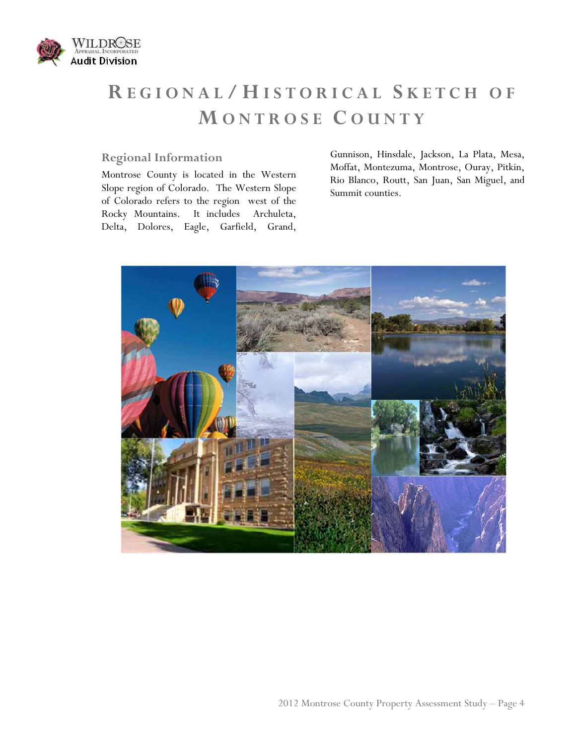<span id="page-4-0"></span>

# **R EGIONAL / H ISTORICAL S KETCH OF M ONTROSE C OUNTY**

## **Regional Information**

Montrose County is located in the Western Slope region of Colorado. The Western Slope of Colorado refers to the region west of the Rocky Mountains. It includes Archuleta, Delta, Dolores, Eagle, Garfield, Grand, Gunnison, Hinsdale, Jackson, La Plata, Mesa, Moffat, Montezuma, Montrose, Ouray, Pitkin, Rio Blanco, Routt, San Juan, San Miguel, and Summit counties.

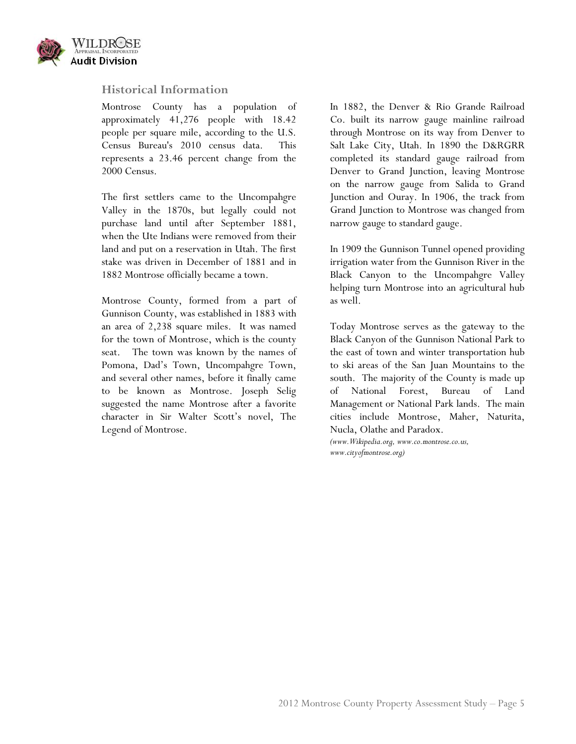

#### **Historical Information**

Montrose County has a population of approximately 41,276 people with 18.42 people per square mile, according to the U.S. Census Bureau's 2010 census data. This represents a 23.46 percent change from the 2000 Census.

The first settlers came to the Uncompahgre Valley in the 1870s, but legally could not purchase land until after September 1881, when the Ute Indians were removed from their land and put on a reservation in Utah. The first stake was driven in December of 1881 and in 1882 Montrose officially became a town.

Montrose County, formed from a part of Gunnison County, was established in 1883 with an area of 2,238 square miles. It was named for the town of Montrose, which is the county seat. The town was known by the names of Pomona, Dad's Town, Uncompahgre Town, and several other names, before it finally came to be known as Montrose. Joseph Selig suggested the name Montrose after a favorite character in Sir Walter Scott's novel, The Legend of Montrose.

In 1882, the Denver & Rio Grande Railroad Co. built its narrow gauge mainline railroad through Montrose on its way from Denver to Salt Lake City, Utah. In 1890 the D&RGRR completed its standard gauge railroad from Denver to Grand Junction, leaving Montrose on the narrow gauge from Salida to Grand Junction and Ouray. In 1906, the track from Grand Junction to Montrose was changed from narrow gauge to standard gauge.

In 1909 the Gunnison Tunnel opened providing irrigation water from the Gunnison River in the Black Canyon to the Uncompahgre Valley helping turn Montrose into an agricultural hub as well.

Today Montrose serves as the gateway to the Black Canyon of the Gunnison National Park to the east of town and winter transportation hub to ski areas of the San Juan Mountains to the south. The majority of the County is made up of National Forest, Bureau of Land Management or National Park lands. The main cities include Montrose, Maher, Naturita, Nucla, Olathe and Paradox.

*(www.Wikipedia.org, www.co.montrose.co.us, www.cityofmontrose.org)*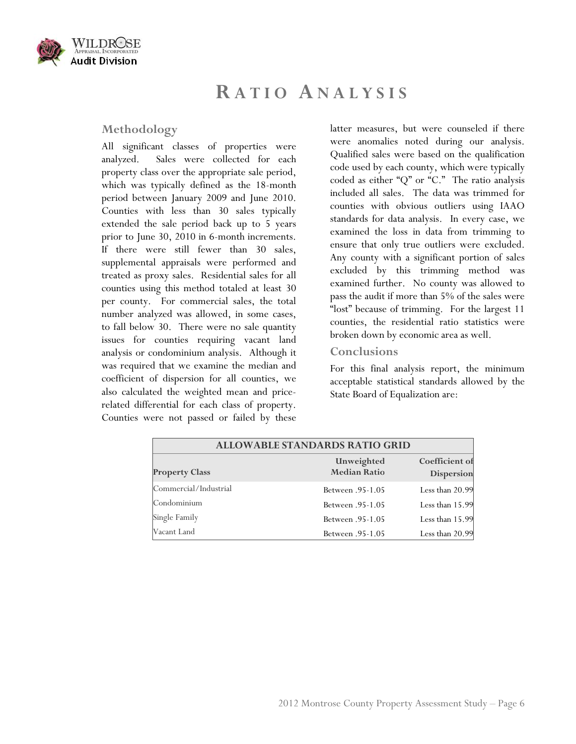<span id="page-6-0"></span>

## **R ATIO ANALYSIS**

#### **Methodology**

All significant classes of properties were analyzed. Sales were collected for each property class over the appropriate sale period, which was typically defined as the 18-month period between January 2009 and June 2010. Counties with less than 30 sales typically extended the sale period back up to 5 years prior to June 30, 2010 in 6-month increments. If there were still fewer than 30 sales, supplemental appraisals were performed and treated as proxy sales. Residential sales for all counties using this method totaled at least 30 per county. For commercial sales, the total number analyzed was allowed, in some cases, to fall below 30. There were no sale quantity issues for counties requiring vacant land analysis or condominium analysis. Although it was required that we examine the median and coefficient of dispersion for all counties, we also calculated the weighted mean and pricerelated differential for each class of property. Counties were not passed or failed by these

latter measures, but were counseled if there were anomalies noted during our analysis. Qualified sales were based on the qualification code used by each county, which were typically coded as either "Q" or "C." The ratio analysis included all sales. The data was trimmed for counties with obvious outliers using IAAO standards for data analysis. In every case, we examined the loss in data from trimming to ensure that only true outliers were excluded. Any county with a significant portion of sales excluded by this trimming method was examined further. No county was allowed to pass the audit if more than 5% of the sales were "lost" because of trimming. For the largest 11 counties, the residential ratio statistics were broken down by economic area as well.

#### **Conclusions**

For this final analysis report, the minimum acceptable statistical standards allowed by the State Board of Equalization are:

| <b>ALLOWABLE STANDARDS RATIO GRID</b> |                                   |                                     |  |
|---------------------------------------|-----------------------------------|-------------------------------------|--|
| <b>Property Class</b>                 | Unweighted<br><b>Median Ratio</b> | Coefficient of<br><b>Dispersion</b> |  |
| Commercial/Industrial                 | <b>Between</b> .95-1.05           | Less than 20.99                     |  |
| Condominium                           | <b>Between</b> .95-1.05           | Less than 15.99                     |  |
| Single Family                         | <b>Between</b> .95-1.05           | Less than 15.99                     |  |
| Vacant Land                           | <b>Between</b> .95-1.05           | Less than $20.99$                   |  |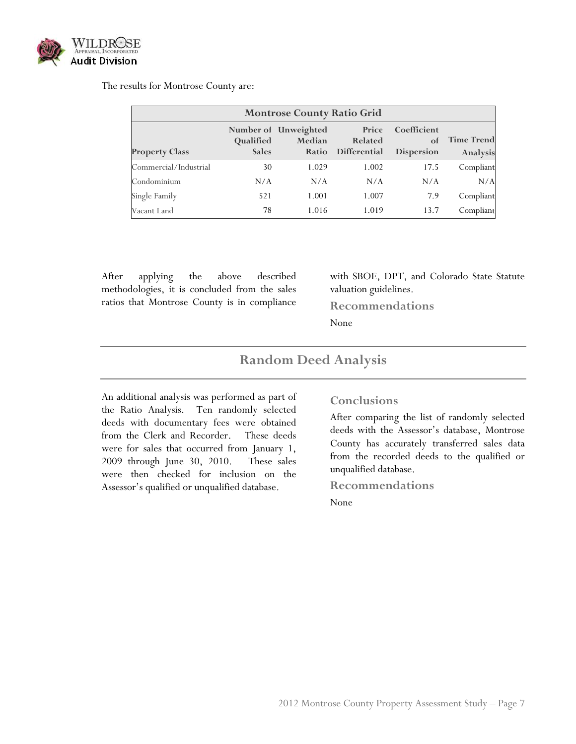

The results for Montrose County are:

| <b>Montrose County Ratio Grid</b> |                           |                                         |                                  |                                 |                               |
|-----------------------------------|---------------------------|-----------------------------------------|----------------------------------|---------------------------------|-------------------------------|
| <b>Property Class</b>             | Qualified<br><b>Sales</b> | Number of Unweighted<br>Median<br>Ratio | Price<br>Related<br>Differential | Coefficient<br>of<br>Dispersion | <b>Time Trend</b><br>Analysis |
| Commercial/Industrial             | 30                        | 1.029                                   | 1.002                            | 17.5                            | Compliant                     |
| Condominium                       | N/A                       | N/A                                     | N/A                              | N/A                             | N/A                           |
| Single Family                     | 521                       | 1.001                                   | 1.007                            | 7.9                             | Compliant                     |
| Vacant Land                       | 78                        | 1.016                                   | 1.019                            | 13.7                            | Compliant                     |

After applying the above described methodologies, it is concluded from the sales ratios that Montrose County is in compliance

with SBOE, DPT, and Colorado State Statute valuation guidelines.

**Recommendations** 

None

## **Random Deed Analysis**

<span id="page-7-0"></span>An additional analysis was performed as part of the Ratio Analysis. Ten randomly selected deeds with documentary fees were obtained from the Clerk and Recorder. These deeds were for sales that occurred from January 1, 2009 through June 30, 2010. These sales were then checked for inclusion on the Assessor's qualified or unqualified database.

#### **Conclusions**

After comparing the list of randomly selected deeds with the Assessor's database, Montrose County has accurately transferred sales data from the recorded deeds to the qualified or unqualified database.

**Recommendations**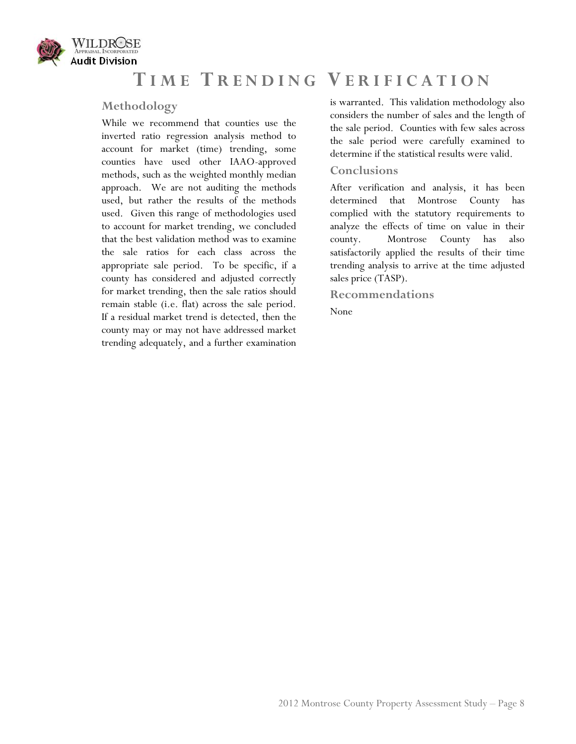<span id="page-8-0"></span>

# **T IME T RENDING V ERIFICATION**

### **Methodology**

While we recommend that counties use the inverted ratio regression analysis method to account for market (time) trending, some counties have used other IAAO-approved methods, such as the weighted monthly median approach. We are not auditing the methods used, but rather the results of the methods used. Given this range of methodologies used to account for market trending, we concluded that the best validation method was to examine the sale ratios for each class across the appropriate sale period. To be specific, if a county has considered and adjusted correctly for market trending, then the sale ratios should remain stable (i.e. flat) across the sale period. If a residual market trend is detected, then the county may or may not have addressed market trending adequately, and a further examination

is warranted. This validation methodology also considers the number of sales and the length of the sale period. Counties with few sales across the sale period were carefully examined to determine if the statistical results were valid.

#### **Conclusions**

After verification and analysis, it has been determined that Montrose County has complied with the statutory requirements to analyze the effects of time on value in their county. Montrose County has also satisfactorily applied the results of their time trending analysis to arrive at the time adjusted sales price (TASP).

**Recommendations**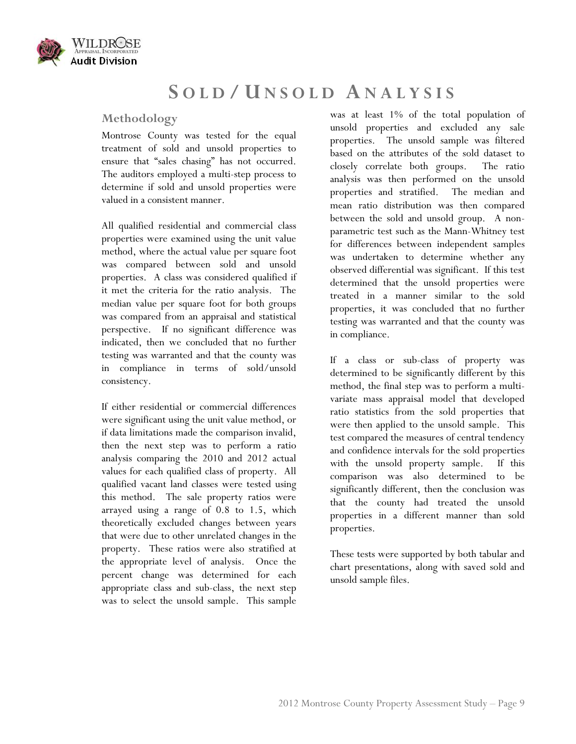<span id="page-9-0"></span>

## **S OLD / U NSOLD ANALYSIS**

## **Methodology**

Montrose County was tested for the equal treatment of sold and unsold properties to ensure that "sales chasing" has not occurred. The auditors employed a multi-step process to determine if sold and unsold properties were valued in a consistent manner.

All qualified residential and commercial class properties were examined using the unit value method, where the actual value per square foot was compared between sold and unsold properties. A class was considered qualified if it met the criteria for the ratio analysis. The median value per square foot for both groups was compared from an appraisal and statistical perspective. If no significant difference was indicated, then we concluded that no further testing was warranted and that the county was in compliance in terms of sold/unsold consistency.

If either residential or commercial differences were significant using the unit value method, or if data limitations made the comparison invalid, then the next step was to perform a ratio analysis comparing the 2010 and 2012 actual values for each qualified class of property. All qualified vacant land classes were tested using this method. The sale property ratios were arrayed using a range of 0.8 to 1.5, which theoretically excluded changes between years that were due to other unrelated changes in the property. These ratios were also stratified at the appropriate level of analysis. Once the percent change was determined for each appropriate class and sub-class, the next step was to select the unsold sample. This sample

was at least 1% of the total population of unsold properties and excluded any sale properties. The unsold sample was filtered based on the attributes of the sold dataset to closely correlate both groups. The ratio analysis was then performed on the unsold properties and stratified. The median and mean ratio distribution was then compared between the sold and unsold group. A nonparametric test such as the Mann-Whitney test for differences between independent samples was undertaken to determine whether any observed differential was significant. If this test determined that the unsold properties were treated in a manner similar to the sold properties, it was concluded that no further testing was warranted and that the county was in compliance.

If a class or sub-class of property was determined to be significantly different by this method, the final step was to perform a multivariate mass appraisal model that developed ratio statistics from the sold properties that were then applied to the unsold sample. This test compared the measures of central tendency and confidence intervals for the sold properties with the unsold property sample. If this comparison was also determined to be significantly different, then the conclusion was that the county had treated the unsold properties in a different manner than sold properties.

These tests were supported by both tabular and chart presentations, along with saved sold and unsold sample files.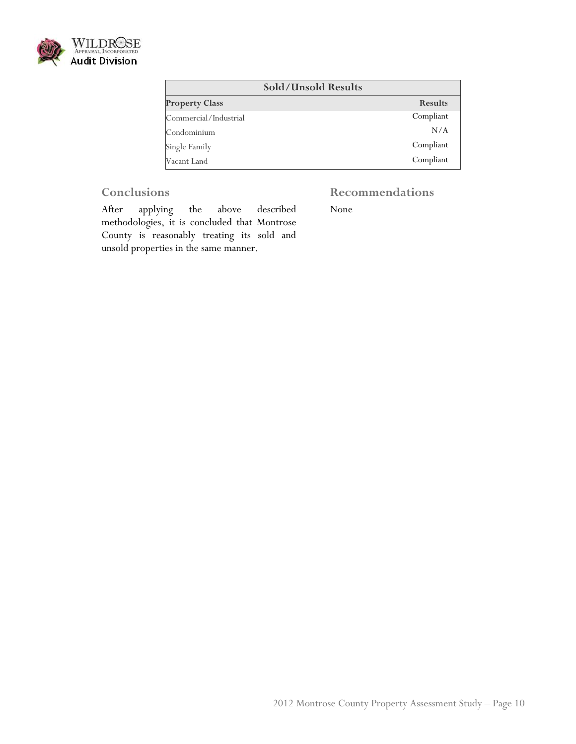

| <b>Sold/Unsold Results</b> |                |  |
|----------------------------|----------------|--|
| <b>Property Class</b>      | <b>Results</b> |  |
| Commercial/Industrial      | Compliant      |  |
| Condominium                | N/A            |  |
| Single Family              | Compliant      |  |
| Vacant Land                | Compliant      |  |

## **Conclusions**

## **Recommendations**

After applying the above described methodologies, it is concluded that Montrose County is reasonably treating its sold and unsold properties in the same manner.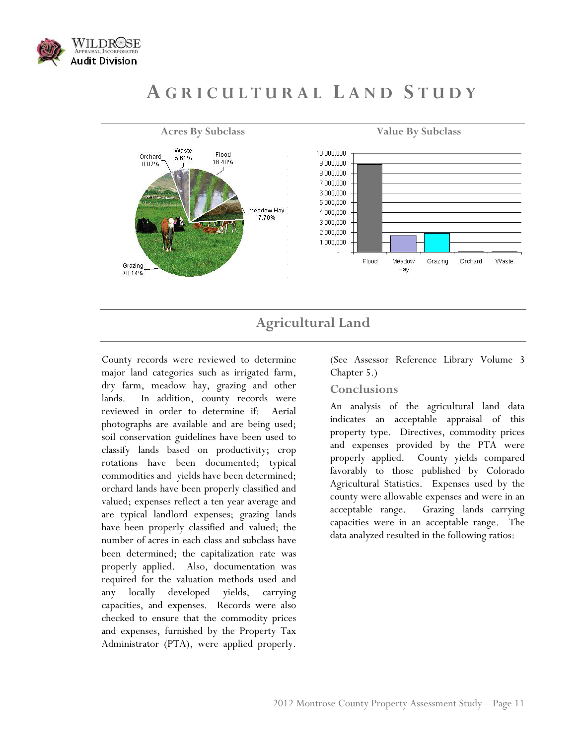<span id="page-11-0"></span>

# **A GRICULTURAL L AND S TUDY**



## **Agricultural Land**

<span id="page-11-1"></span>County records were reviewed to determine major land categories such as irrigated farm, dry farm, meadow hay, grazing and other lands. In addition, county records were reviewed in order to determine if: Aerial photographs are available and are being used; soil conservation guidelines have been used to classify lands based on productivity; crop rotations have been documented; typical commodities and yields have been determined; orchard lands have been properly classified and valued; expenses reflect a ten year average and are typical landlord expenses; grazing lands have been properly classified and valued; the number of acres in each class and subclass have been determined; the capitalization rate was properly applied. Also, documentation was required for the valuation methods used and any locally developed yields, carrying capacities, and expenses. Records were also checked to ensure that the commodity prices and expenses, furnished by the Property Tax Administrator (PTA), were applied properly.

(See Assessor Reference Library Volume 3 Chapter 5.)

#### **Conclusions**

An analysis of the agricultural land data indicates an acceptable appraisal of this property type. Directives, commodity prices and expenses provided by the PTA were properly applied. County yields compared favorably to those published by Colorado Agricultural Statistics. Expenses used by the county were allowable expenses and were in an acceptable range. Grazing lands carrying capacities were in an acceptable range. The data analyzed resulted in the following ratios: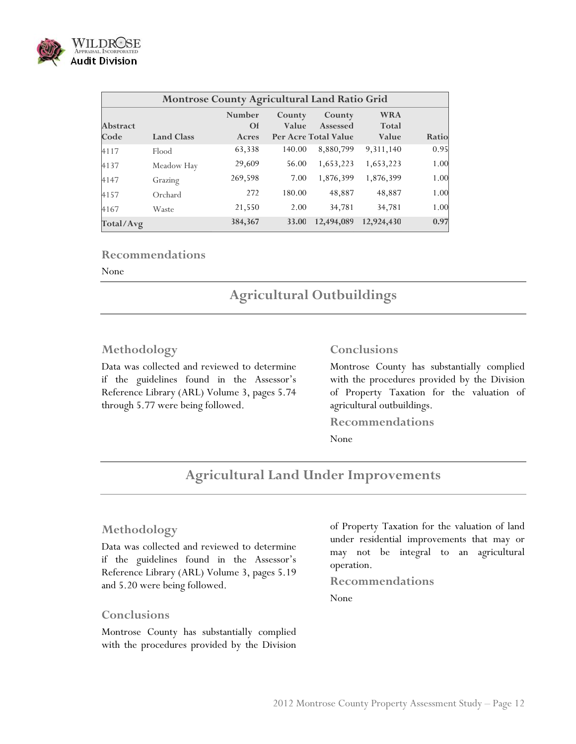

| Montrose County Agricultural Land Ratio Grid |                   |                              |                 |                                            |                                     |       |
|----------------------------------------------|-------------------|------------------------------|-----------------|--------------------------------------------|-------------------------------------|-------|
| <b>Abstract</b><br>Code                      | <b>Land Class</b> | Number<br><b>Of</b><br>Acres | County<br>Value | County<br>Assessed<br>Per Acre Total Value | <b>WRA</b><br><b>Total</b><br>Value | Ratio |
| 4117                                         | Flood             | 63,338                       | 140.00          | 8,880,799                                  | 9,311,140                           | 0.95  |
| 4137                                         | Meadow Hay        | 29,609                       | 56.00           | 1,653,223                                  | 1,653,223                           | 1.00  |
| 4147                                         | Grazing           | 269,598                      | 7.00            | 1,876,399                                  | 1,876,399                           | 1.00  |
| 4157                                         | Orchard           | 272                          | 180.00          | 48,887                                     | 48,887                              | 1.00  |
| 4167                                         | Waste             | 21,550                       | 2.00            | 34,781                                     | 34,781                              | 1.00  |
| Total/Avg                                    |                   | 384,367                      | 33.00           | 12,494,089                                 | 12,924,430                          | 0.97  |

#### **Recommendations**

<span id="page-12-0"></span>None

## **Agricultural Outbuildings**

#### **Methodology**

Data was collected and reviewed to determine if the guidelines found in the Assessor's Reference Library (ARL) Volume 3, pages 5.74 through 5.77 were being followed.

#### **Conclusions**

Montrose County has substantially complied with the procedures provided by the Division of Property Taxation for the valuation of agricultural outbuildings.

**Recommendations** 

None

## **Agricultural Land Under Improvements**

#### <span id="page-12-1"></span>**Methodology**

Data was collected and reviewed to determine if the guidelines found in the Assessor's Reference Library (ARL) Volume 3, pages 5.19 and 5.20 were being followed.

#### **Conclusions**

Montrose County has substantially complied with the procedures provided by the Division of Property Taxation for the valuation of land under residential improvements that may or may not be integral to an agricultural operation.

**Recommendations**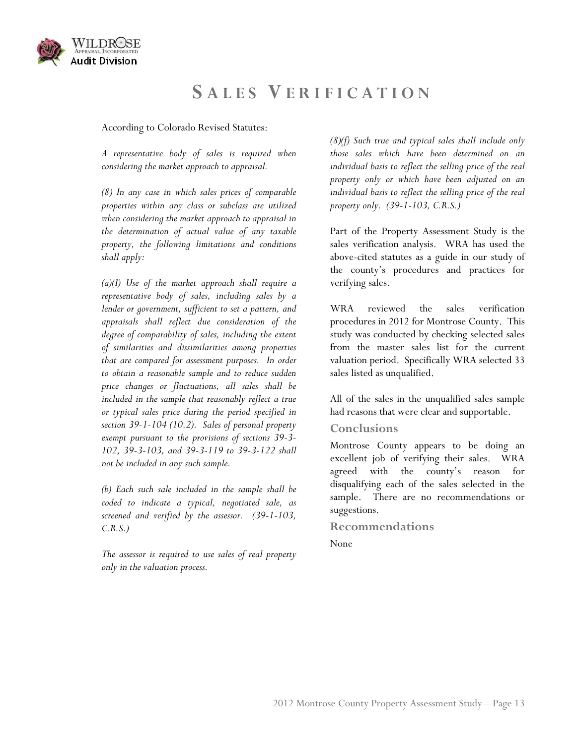<span id="page-13-0"></span>

## **S ALES V ERIFICATION**

According to Colorado Revised Statutes:

*A representative body of sales is required when considering the market approach to appraisal.* 

*(8) In any case in which sales prices of comparable properties within any class or subclass are utilized when considering the market approach to appraisal in the determination of actual value of any taxable property, the following limitations and conditions shall apply:* 

*(a)(I) Use of the market approach shall require a representative body of sales, including sales by a lender or government, sufficient to set a pattern, and appraisals shall reflect due consideration of the degree of comparability of sales, including the extent of similarities and dissimilarities among properties that are compared for assessment purposes. In order to obtain a reasonable sample and to reduce sudden price changes or fluctuations, all sales shall be included in the sample that reasonably reflect a true or typical sales price during the period specified in section 39-1-104 (10.2). Sales of personal property exempt pursuant to the provisions of sections 39-3- 102, 39-3-103, and 39-3-119 to 39-3-122 shall not be included in any such sample.* 

*(b) Each such sale included in the sample shall be coded to indicate a typical, negotiated sale, as screened and verified by the assessor. (39-1-103, C.R.S.)* 

*The assessor is required to use sales of real property only in the valuation process.* 

*(8)(f) Such true and typical sales shall include only those sales which have been determined on an individual basis to reflect the selling price of the real property only or which have been adjusted on an individual basis to reflect the selling price of the real property only. (39-1-103, C.R.S.)* 

Part of the Property Assessment Study is the sales verification analysis. WRA has used the above-cited statutes as a guide in our study of the county's procedures and practices for verifying sales.

WRA reviewed the sales verification procedures in 2012 for Montrose County. This study was conducted by checking selected sales from the master sales list for the current valuation period. Specifically WRA selected 33 sales listed as unqualified.

All of the sales in the unqualified sales sample had reasons that were clear and supportable.

#### **Conclusions**

Montrose County appears to be doing an excellent job of verifying their sales. WRA agreed with the county's reason for disqualifying each of the sales selected in the sample. There are no recommendations or suggestions.

#### **Recommendations**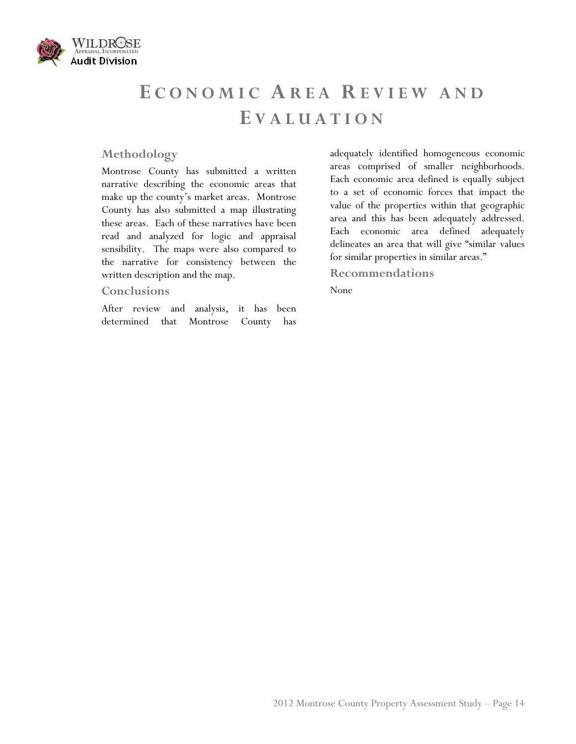<span id="page-14-0"></span>

# **E CONOMIC AREA R EVIEW AND E VALUATION**

#### **Methodology**

Montrose County has submitted a written narrative describing the economic areas that make up the county's market areas. Montrose County has also submitted a map illustrating these areas. Each of these narratives have been read and analyzed for logic and appraisal sensibility. The maps were also compared to the narrative for consistency between the written description and the map.

#### **Conclusions**

After review and analysis, it has been determined that Montrose County has adequately identified homogeneous economic areas comprised of smaller neighborhoods. Each economic area defined is equally subject to a set of economic forces that impact the value of the properties within that geographic area and this has been adequately addressed. Each economic area defined adequately delineates an area that will give "similar values for similar properties in similar areas."

#### **Recommendations**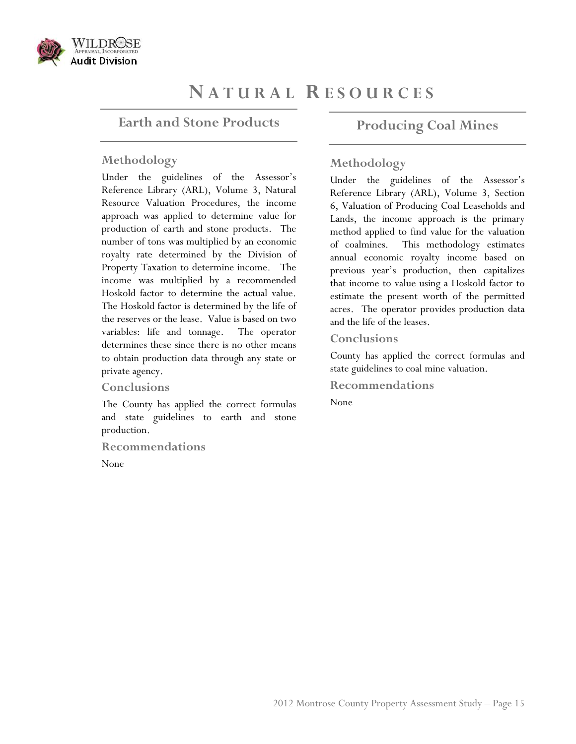<span id="page-15-1"></span><span id="page-15-0"></span>

# **N ATURAL R ESOURCES**

### **Earth and Stone Products**

#### **Methodology**

Under the guidelines of the Assessor's Reference Library (ARL), Volume 3, Natural Resource Valuation Procedures, the income approach was applied to determine value for production of earth and stone products. The number of tons was multiplied by an economic royalty rate determined by the Division of Property Taxation to determine income. The income was multiplied by a recommended Hoskold factor to determine the actual value. The Hoskold factor is determined by the life of the reserves or the lease. Value is based on two variables: life and tonnage. The operator determines these since there is no other means to obtain production data through any state or private agency.

#### **Conclusions**

The County has applied the correct formulas and state guidelines to earth and stone production.

**Recommendations** 

None

## **Producing Coal Mines**

#### **Methodology**

Under the guidelines of the Assessor's Reference Library (ARL), Volume 3, Section 6, Valuation of Producing Coal Leaseholds and Lands, the income approach is the primary method applied to find value for the valuation of coalmines. This methodology estimates annual economic royalty income based on previous year's production, then capitalizes that income to value using a Hoskold factor to estimate the present worth of the permitted acres. The operator provides production data and the life of the leases.

#### **Conclusions**

County has applied the correct formulas and state guidelines to coal mine valuation.

**Recommendations**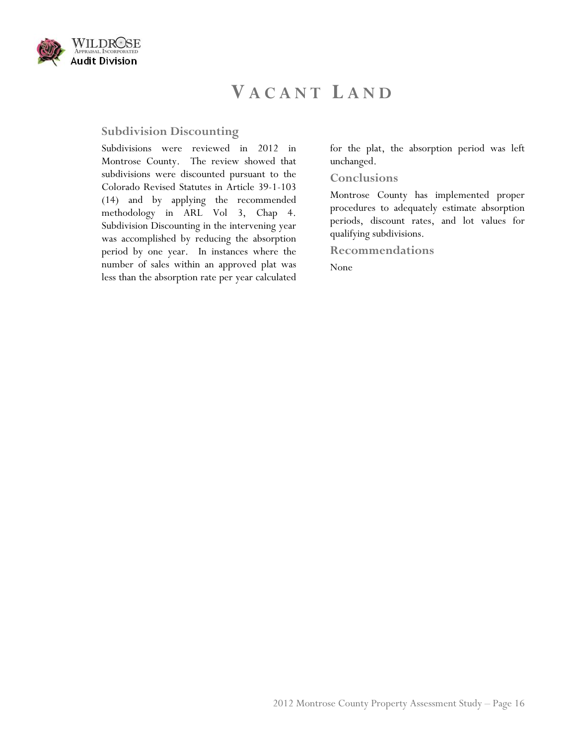<span id="page-16-0"></span>

# **V ACANT L AND**

## **Subdivision Discounting**

Subdivisions were reviewed in 2012 in Montrose County. The review showed that subdivisions were discounted pursuant to the Colorado Revised Statutes in Article 39-1-103 (14) and by applying the recommended methodology in ARL Vol 3, Chap 4. Subdivision Discounting in the intervening year was accomplished by reducing the absorption period by one year. In instances where the number of sales within an approved plat was less than the absorption rate per year calculated for the plat, the absorption period was left unchanged.

#### **Conclusions**

Montrose County has implemented proper procedures to adequately estimate absorption periods, discount rates, and lot values for qualifying subdivisions.

**Recommendations**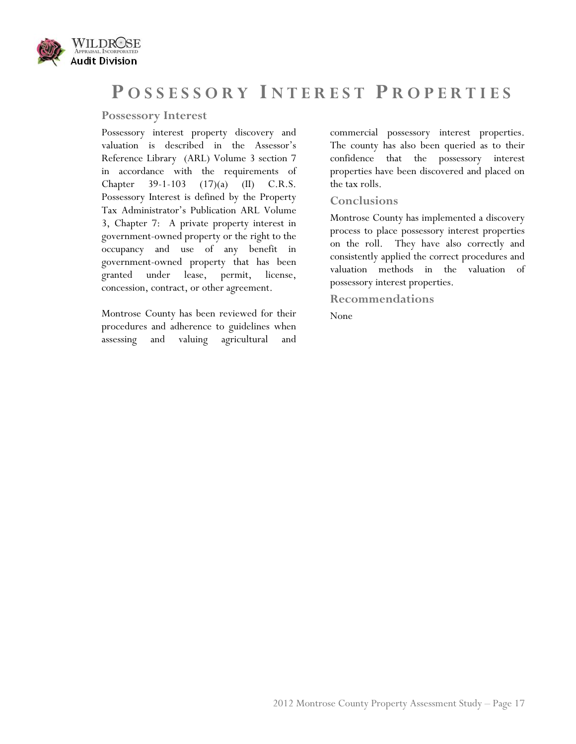<span id="page-17-0"></span>

## **P OSSESSORY I NTEREST P ROPERTIES**

#### **Possessory Interest**

Possessory interest property discovery and valuation is described in the Assessor's Reference Library (ARL) Volume 3 section 7 in accordance with the requirements of Chapter 39-1-103 (17)(a) (II) C.R.S. Possessory Interest is defined by the Property Tax Administrator's Publication ARL Volume 3, Chapter 7: A private property interest in government-owned property or the right to the occupancy and use of any benefit in government-owned property that has been granted under lease, permit, license, concession, contract, or other agreement.

Montrose County has been reviewed for their procedures and adherence to guidelines when assessing and valuing agricultural and commercial possessory interest properties. The county has also been queried as to their confidence that the possessory interest properties have been discovered and placed on the tax rolls.

#### **Conclusions**

Montrose County has implemented a discovery process to place possessory interest properties on the roll. They have also correctly and consistently applied the correct procedures and valuation methods in the valuation of possessory interest properties.

**Recommendations**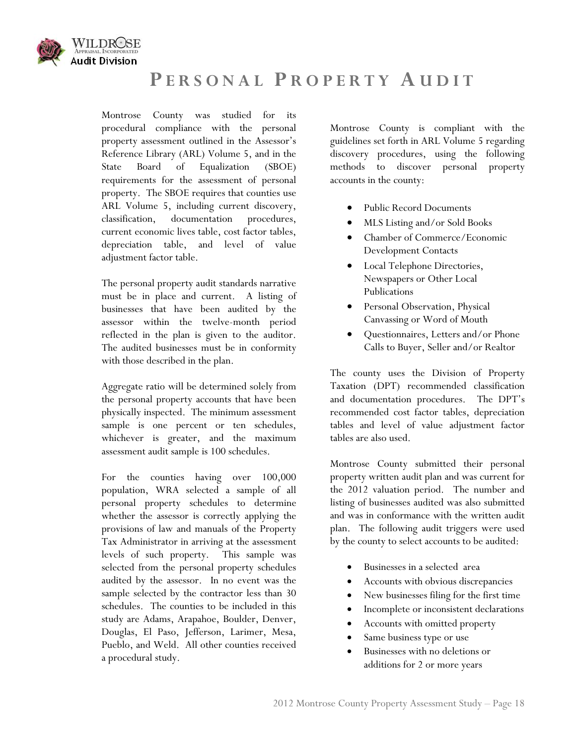<span id="page-18-0"></span>

# **P ERSONAL P ROPERTY A UDIT**

Montrose County was studied for its procedural compliance with the personal property assessment outlined in the Assessor's Reference Library (ARL) Volume 5, and in the State Board of Equalization (SBOE) requirements for the assessment of personal property. The SBOE requires that counties use ARL Volume 5, including current discovery, classification, documentation procedures, current economic lives table, cost factor tables, depreciation table, and level of value adjustment factor table.

The personal property audit standards narrative must be in place and current. A listing of businesses that have been audited by the assessor within the twelve-month period reflected in the plan is given to the auditor. The audited businesses must be in conformity with those described in the plan.

Aggregate ratio will be determined solely from the personal property accounts that have been physically inspected. The minimum assessment sample is one percent or ten schedules, whichever is greater, and the maximum assessment audit sample is 100 schedules.

For the counties having over 100,000 population, WRA selected a sample of all personal property schedules to determine whether the assessor is correctly applying the provisions of law and manuals of the Property Tax Administrator in arriving at the assessment levels of such property. This sample was selected from the personal property schedules audited by the assessor. In no event was the sample selected by the contractor less than 30 schedules. The counties to be included in this study are Adams, Arapahoe, Boulder, Denver, Douglas, El Paso, Jefferson, Larimer, Mesa, Pueblo, and Weld. All other counties received a procedural study.

Montrose County is compliant with the guidelines set forth in ARL Volume 5 regarding discovery procedures, using the following methods to discover personal property accounts in the county:

- Public Record Documents
- MLS Listing and/or Sold Books
- Chamber of Commerce/Economic Development Contacts
- Local Telephone Directories, Newspapers or Other Local Publications
- Personal Observation, Physical Canvassing or Word of Mouth
- Questionnaires, Letters and/or Phone Calls to Buyer, Seller and/or Realtor

The county uses the Division of Property Taxation (DPT) recommended classification and documentation procedures. The DPT's recommended cost factor tables, depreciation tables and level of value adjustment factor tables are also used.

Montrose County submitted their personal property written audit plan and was current for the 2012 valuation period. The number and listing of businesses audited was also submitted and was in conformance with the written audit plan. The following audit triggers were used by the county to select accounts to be audited:

- Businesses in a selected area
- Accounts with obvious discrepancies
- New businesses filing for the first time
- Incomplete or inconsistent declarations
- Accounts with omitted property
- Same business type or use
- Businesses with no deletions or additions for 2 or more years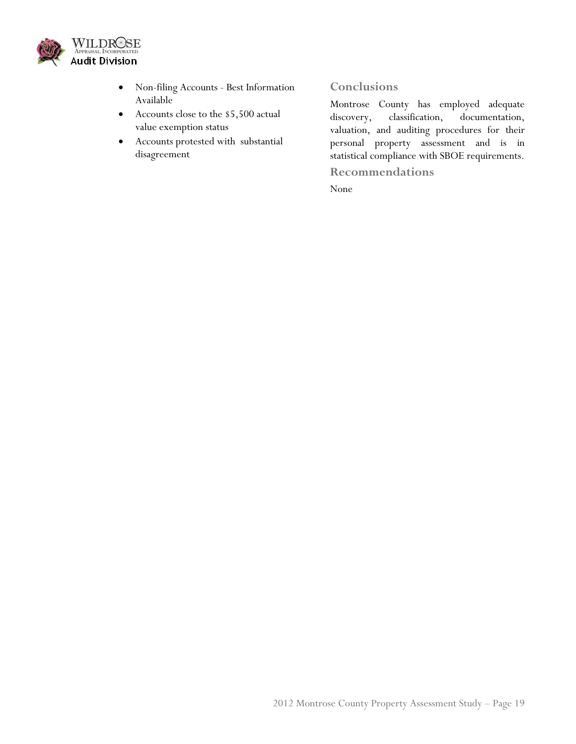

- Non-filing Accounts Best Information Available
- Accounts close to the \$5,500 actual value exemption status
- Accounts protested with substantial disagreement

## **Conclusions**

Montrose County has employed adequate discovery, classification, documentation, valuation, and auditing procedures for their personal property assessment and is in statistical compliance with SBOE requirements.

**Recommendations**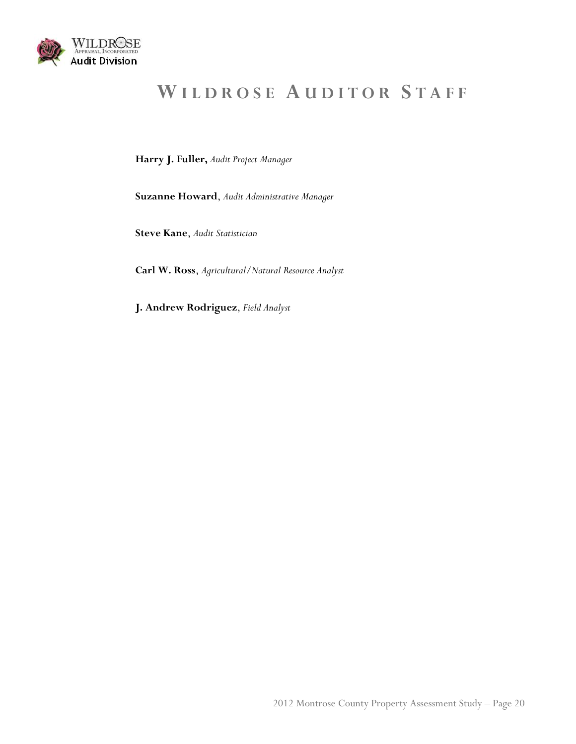<span id="page-20-0"></span>

# **W ILDROSE A UDITOR S TAFF**

**Harry J. Fuller,** *Audit Project Manager*

**Suzanne Howard**, *Audit Administrative Manager*

**Steve Kane**, *Audit Statistician* 

**Carl W. Ross**, *Agricultural/Natural Resource Analyst*

**J. Andrew Rodriguez**, *Field Analyst*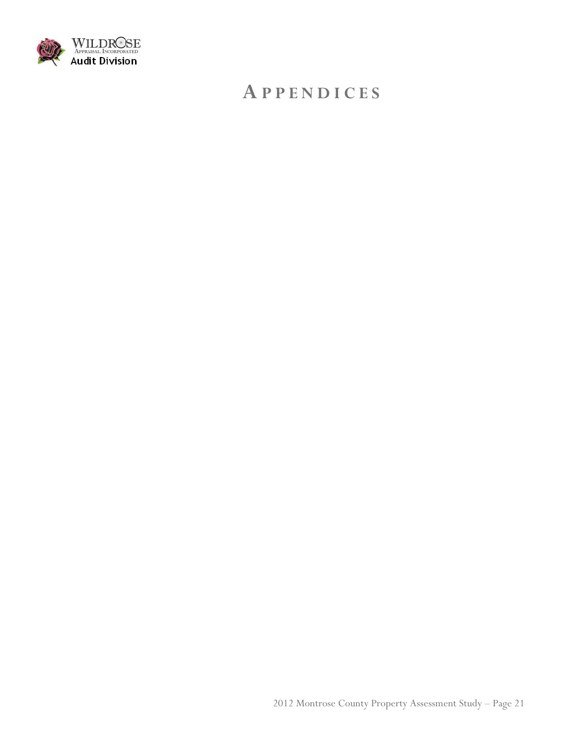<span id="page-21-0"></span>

# **A PPENDICES**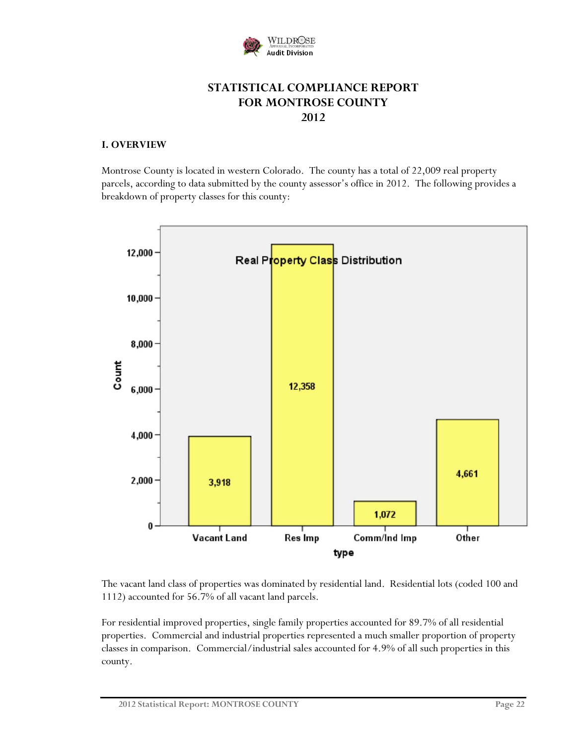

## **STATISTICAL COMPLIANCE REPORT FOR MONTROSE COUNTY 2012**

#### **I. OVERVIEW**

Montrose County is located in western Colorado. The county has a total of 22,009 real property parcels, according to data submitted by the county assessor's office in 2012. The following provides a breakdown of property classes for this county:



The vacant land class of properties was dominated by residential land. Residential lots (coded 100 and 1112) accounted for 56.7% of all vacant land parcels.

For residential improved properties, single family properties accounted for 89.7% of all residential properties. Commercial and industrial properties represented a much smaller proportion of property classes in comparison. Commercial/industrial sales accounted for 4.9% of all such properties in this county.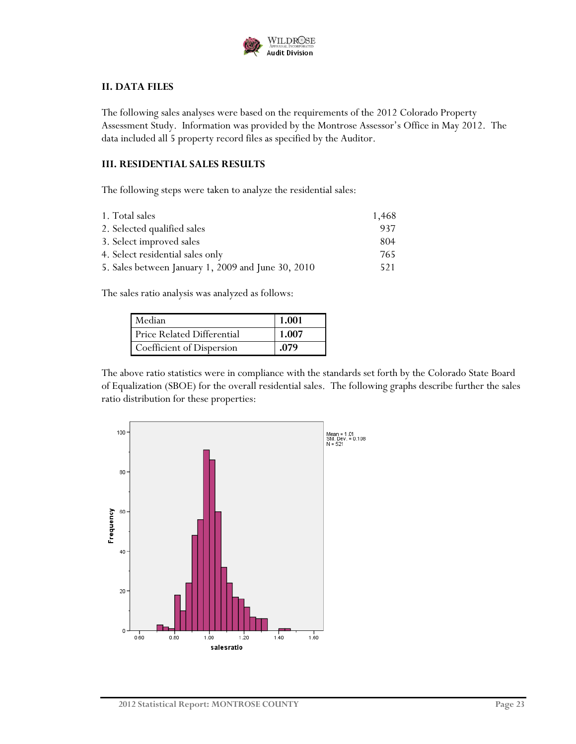

### **II. DATA FILES**

The following sales analyses were based on the requirements of the 2012 Colorado Property Assessment Study. Information was provided by the Montrose Assessor's Office in May 2012. The data included all 5 property record files as specified by the Auditor.

#### **III. RESIDENTIAL SALES RESULTS**

The following steps were taken to analyze the residential sales:

| 1. Total sales                                     | 1,468 |
|----------------------------------------------------|-------|
| 2. Selected qualified sales                        | 937   |
| 3. Select improved sales                           | 804   |
| 4. Select residential sales only                   | 765   |
| 5. Sales between January 1, 2009 and June 30, 2010 | 521   |

The sales ratio analysis was analyzed as follows:

| Median                            | 1.001 |
|-----------------------------------|-------|
| <b>Price Related Differential</b> | 1.007 |
| Coefficient of Dispersion         | .079  |

The above ratio statistics were in compliance with the standards set forth by the Colorado State Board of Equalization (SBOE) for the overall residential sales. The following graphs describe further the sales ratio distribution for these properties:

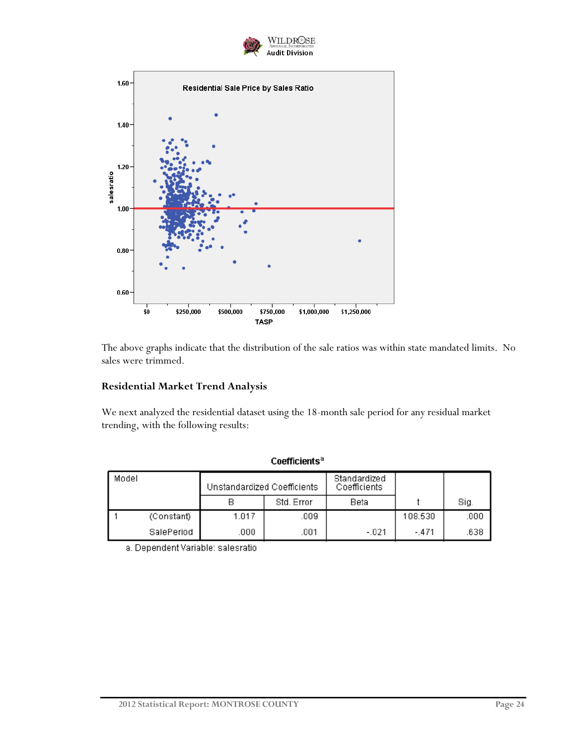



The above graphs indicate that the distribution of the sale ratios was within state mandated limits. No sales were trimmed.

#### **Residential Market Trend Analysis**

We next analyzed the residential dataset using the 18-month sale period for any residual market trending, with the following results:

| Model |            | Unstandardized Coefficients |            | Standardized<br>Coefficients |         |      |
|-------|------------|-----------------------------|------------|------------------------------|---------|------|
|       |            |                             | Std. Error | Beta                         |         | Sig. |
|       | (Constant) | 1.017                       | .009       |                              | 108.530 | .000 |
|       | SalePeriod | .000                        | .001       | $-021$                       | $-.471$ | .638 |

Coefficients<sup>a</sup>

a. Dependent Variable: salesratio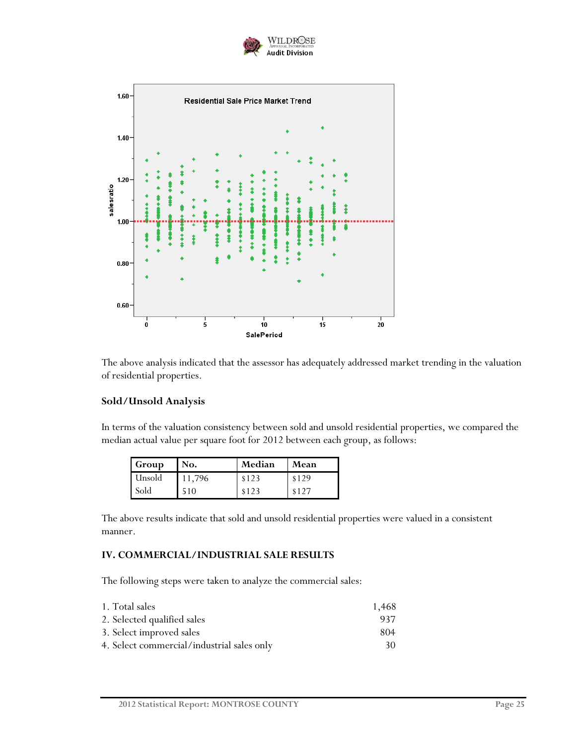



The above analysis indicated that the assessor has adequately addressed market trending in the valuation of residential properties.

### **Sold/Unsold Analysis**

In terms of the valuation consistency between sold and unsold residential properties, we compared the median actual value per square foot for 2012 between each group, as follows:

| <b>Group</b> | No.    | Median | Mean  |
|--------------|--------|--------|-------|
| Lunsold      | 11.796 | \$123  | \$129 |
| Sold         | 510    | \$123  | \$127 |

The above results indicate that sold and unsold residential properties were valued in a consistent manner.

#### **IV. COMMERCIAL/INDUSTRIAL SALE RESULTS**

The following steps were taken to analyze the commercial sales:

| 1. Total sales                             | 1,468 |
|--------------------------------------------|-------|
| 2. Selected qualified sales                | 937   |
| 3. Select improved sales                   | 804   |
| 4. Select commercial/industrial sales only | 30    |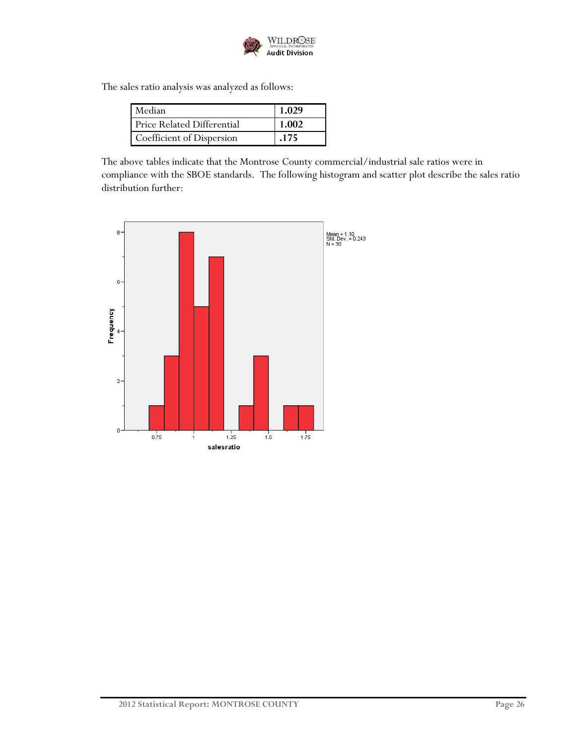

The sales ratio analysis was analyzed as follows:

| Median                     | 1.029 |
|----------------------------|-------|
| Price Related Differential | 1.002 |
| Coefficient of Dispersion  | .175  |

The above tables indicate that the Montrose County commercial/industrial sale ratios were in compliance with the SBOE standards. The following histogram and scatter plot describe the sales ratio distribution further:

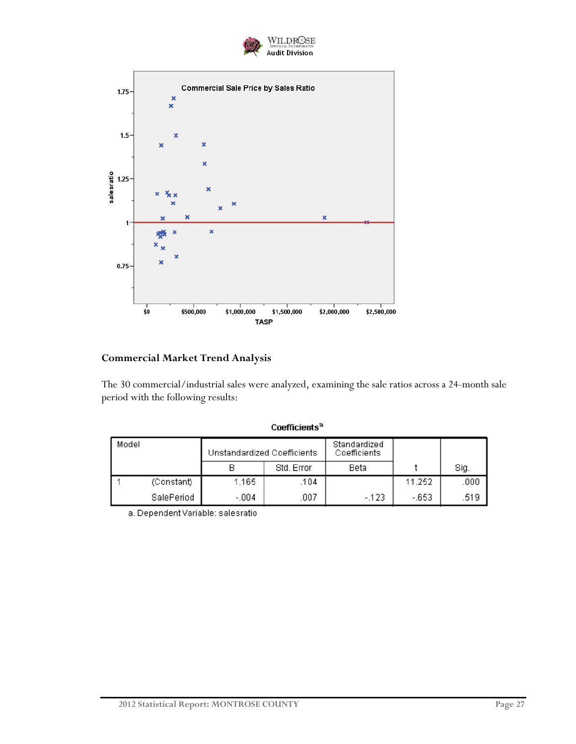



## **Commercial Market Trend Analysis**

The 30 commercial/industrial sales were analyzed, examining the sale ratios across a 24-month sale period with the following results:

|  | Coefficients® |
|--|---------------|
|  |               |

| Model |            | Unstandardized Coefficients<br>Coefficients |            | Standardized |        |      |
|-------|------------|---------------------------------------------|------------|--------------|--------|------|
|       |            |                                             | Std. Error | Beta         |        | Sig. |
|       | (Constant) | 1.165                                       | .104       |              | 11.252 | .000 |
|       | SalePeriod | $-.004$                                     | .007       | $-123$       | -.653  | .519 |

a. Dependent Variable: salesratio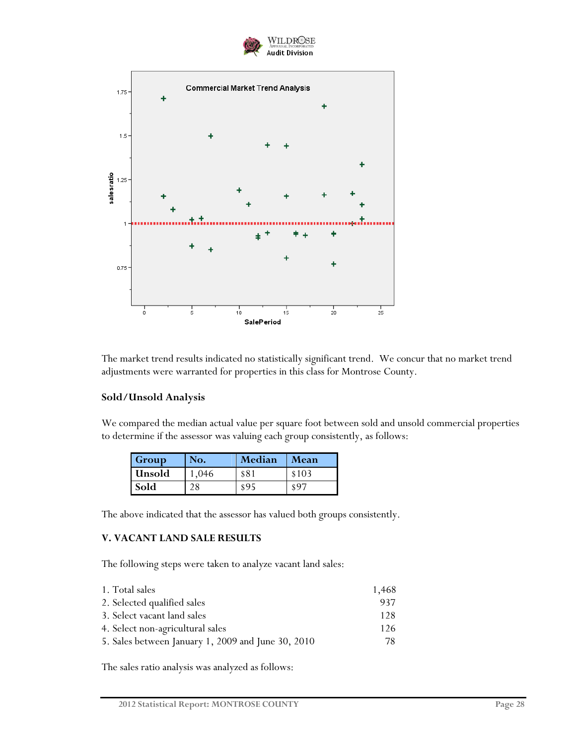



The market trend results indicated no statistically significant trend. We concur that no market trend adjustments were warranted for properties in this class for Montrose County.

### **Sold/Unsold Analysis**

We compared the median actual value per square foot between sold and unsold commercial properties to determine if the assessor was valuing each group consistently, as follows:

| Group         | No. | Median | <b>Mean</b> |
|---------------|-----|--------|-------------|
| <b>Unsold</b> | 046 | \$81   | \$103       |
| Sold          |     | 895    | \$97        |

The above indicated that the assessor has valued both groups consistently.

#### **V. VACANT LAND SALE RESULTS**

The following steps were taken to analyze vacant land sales:

| 1. Total sales                                     | 1,468 |
|----------------------------------------------------|-------|
| 2. Selected qualified sales                        | 937   |
| 3. Select vacant land sales                        | 128   |
| 4. Select non-agricultural sales                   | 126   |
| 5. Sales between January 1, 2009 and June 30, 2010 | 78.   |

The sales ratio analysis was analyzed as follows: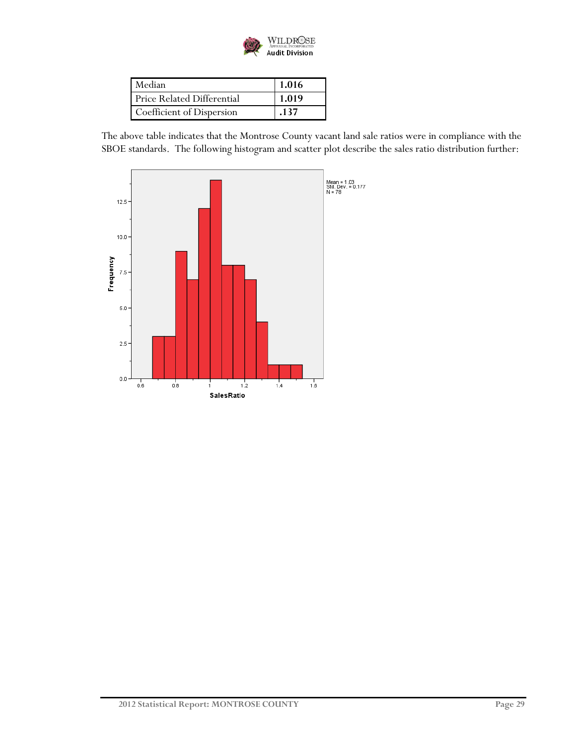

| Median                     | 1.016 |
|----------------------------|-------|
| Price Related Differential | 1.019 |
| Coefficient of Dispersion  | .137  |

The above table indicates that the Montrose County vacant land sale ratios were in compliance with the SBOE standards. The following histogram and scatter plot describe the sales ratio distribution further:

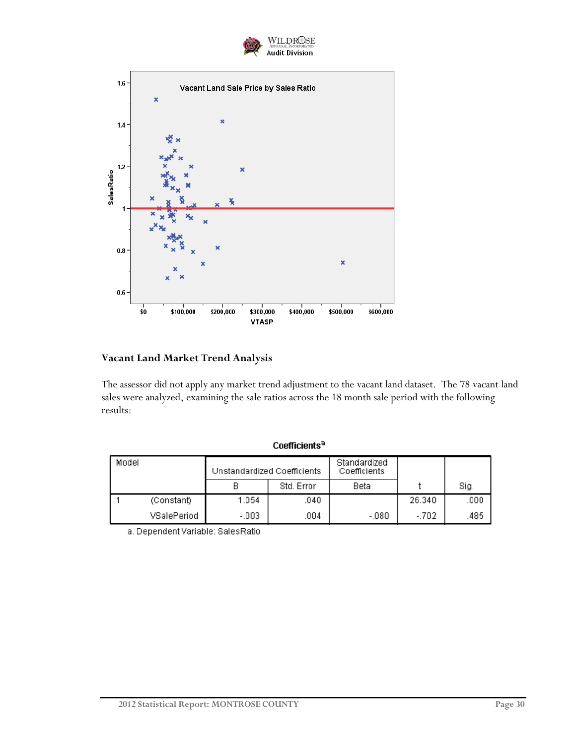



## **Vacant Land Market Trend Analysis**

The assessor did not apply any market trend adjustment to the vacant land dataset. The 78 vacant land sales were analyzed, examining the sale ratios across the 18 month sale period with the following results:

| Model |             | Standardized<br>Unstandardized Coefficients<br>Coefficients |            |         |        |      |
|-------|-------------|-------------------------------------------------------------|------------|---------|--------|------|
|       |             |                                                             | Std. Error | Beta    |        | Sig. |
|       | (Constant)  | 1.054                                                       | .040       |         | 26.340 | .000 |
|       | VSalePeriod | $-.003$                                                     | .004       | $-.080$ | -.702  | 485  |

Coefficients<sup>a</sup>

a. Dependent Variable: SalesRatio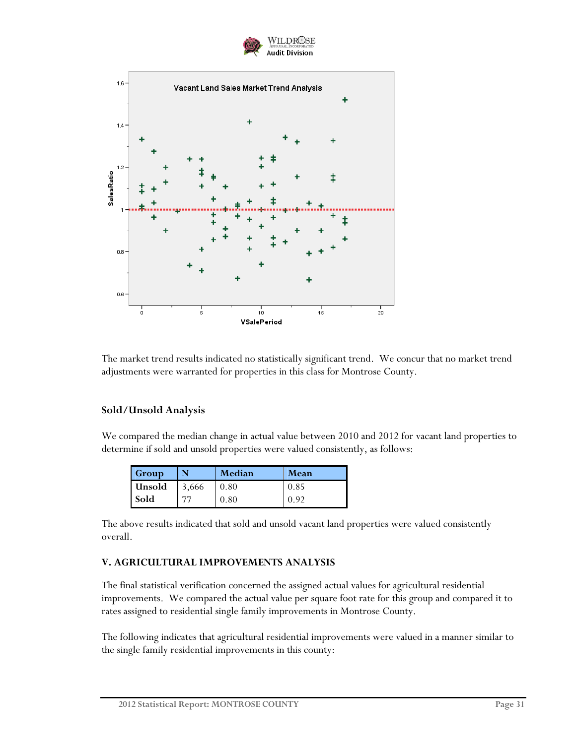



The market trend results indicated no statistically significant trend. We concur that no market trend adjustments were warranted for properties in this class for Montrose County.

#### **Sold/Unsold Analysis**

We compared the median change in actual value between 2010 and 2012 for vacant land properties to determine if sold and unsold properties were valued consistently, as follows:

| Group         | N     | Median | <b>Mean</b> |
|---------------|-------|--------|-------------|
| <b>Unsold</b> | 3,666 | 0.80   | 0.85        |
| <b>Sold</b>   |       | 0.80   | 0.92        |

The above results indicated that sold and unsold vacant land properties were valued consistently overall.

#### **V. AGRICULTURAL IMPROVEMENTS ANALYSIS**

The final statistical verification concerned the assigned actual values for agricultural residential improvements. We compared the actual value per square foot rate for this group and compared it to rates assigned to residential single family improvements in Montrose County.

The following indicates that agricultural residential improvements were valued in a manner similar to the single family residential improvements in this county: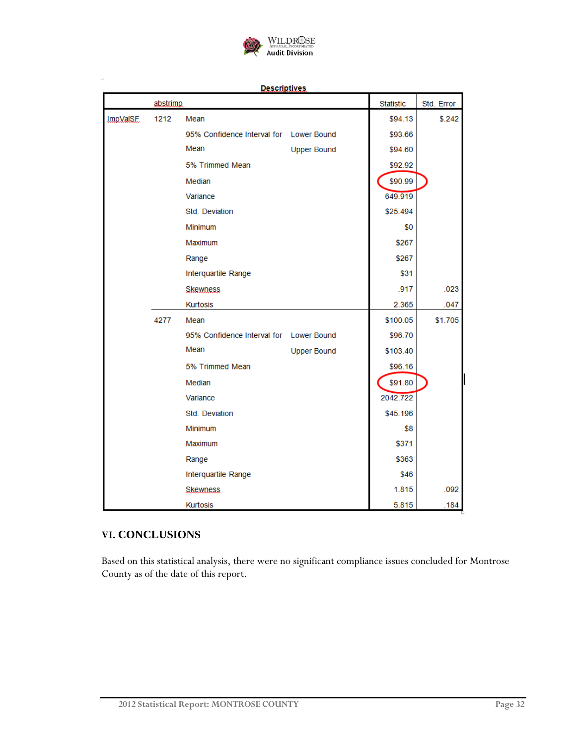

**Descriptives** 

|                 | abstrimp |                                         |                    | <b>Statistic</b> | Std. Error |
|-----------------|----------|-----------------------------------------|--------------------|------------------|------------|
| <b>ImpVaISE</b> | 1212     | Mean                                    |                    | \$94.13          | \$.242     |
|                 |          | 95% Confidence Interval for Lower Bound |                    | \$93.66          |            |
|                 |          | Mean                                    | <b>Upper Bound</b> | \$94.60          |            |
|                 |          | 5% Trimmed Mean                         |                    | \$92.92          |            |
|                 |          | Median                                  |                    | \$90.99          |            |
|                 |          | Variance                                |                    | 649.919          |            |
|                 |          | Std. Deviation                          |                    | \$25.494         |            |
|                 |          | Minimum                                 |                    | \$0              |            |
|                 |          | Maximum                                 |                    | \$267            |            |
|                 |          | Range                                   |                    | \$267            |            |
|                 |          | Interquartile Range                     |                    | \$31             |            |
|                 |          | <b>Skewness</b>                         |                    | .917             | .023       |
|                 |          | <b>Kurtosis</b>                         |                    | 2.365            | .047       |
|                 | 4277     | Mean                                    |                    | \$100.05         | \$1.705    |
|                 |          | 95% Confidence Interval for Lower Bound |                    | \$96.70          |            |
|                 |          | Mean                                    | <b>Upper Bound</b> | \$103.40         |            |
|                 |          | 5% Trimmed Mean                         |                    | \$96.16          |            |
|                 |          | Median                                  |                    | \$91.80          |            |
|                 |          | Variance                                |                    | 2042.722         |            |
|                 |          | Std. Deviation                          |                    | \$45.196         |            |
|                 |          | <b>Minimum</b>                          |                    | \$8              |            |
|                 |          | Maximum                                 |                    | \$371            |            |
|                 |          | Range                                   |                    | \$363            |            |
|                 |          | Interquartile Range                     |                    | \$46             |            |
|                 |          | Skewness                                |                    | 1.815            | .092       |
|                 |          | <b>Kurtosis</b>                         |                    | 5.815            | .184       |

### **VI. CONCLUSIONS**

Based on this statistical analysis, there were no significant compliance issues concluded for Montrose County as of the date of this report.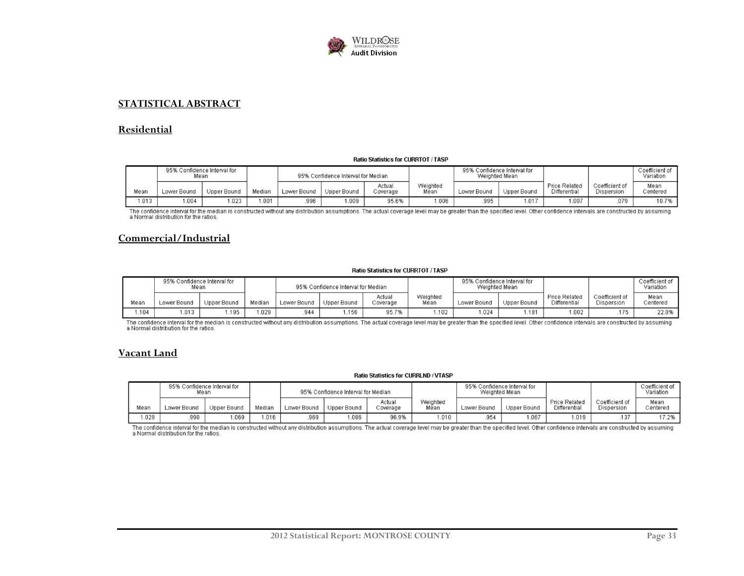

#### **STATISTICAL ABSTRACT**

#### **Residential**

#### Ratio Statistics for CURRTOT / TASP

|       | 95%<br>Mean | ، Confidence Interval for |        |             | 95% Confidence Interval for Median |                    |                  | 95% Confidence Interval for<br>Weighted Mean |             |                                      |                              | Coefficient of<br>Variation |
|-------|-------------|---------------------------|--------|-------------|------------------------------------|--------------------|------------------|----------------------------------------------|-------------|--------------------------------------|------------------------------|-----------------------------|
| Mean  | Lower Bound | Upper Bound               | Median | Lower Bound | Upper Bound                        | Actual<br>Coverage | Weighted<br>Mean | Lower Bound                                  | Upper Bound | <b>Price Related</b><br>Differential | Coefficient of<br>Dispersion | Mean<br>Centered            |
| 1.013 | .004        | .023                      | .001   | 996         | .009                               | 95.6%              | 000.1            | 995                                          | .017        | .007                                 | .079                         | 10.7%                       |

The confidence interval for the median is constructed without any distribution assumptions. The actual coverage level may be greater than the specified level. Other confidence intervals are constructed by assuming a Normal distribution for the ratios.

#### **Commercial/Industrial**

#### Ratio Statistics for CURRTOT / TASP

|       | 95%<br>Mean | Confidence Interval for |        |             | 95% Confidence Interval for Median |                    |                  | 95%<br>Weighted Mean | Confidence Interval for |                                      |                              | Coefficient of<br>Variation |
|-------|-------------|-------------------------|--------|-------------|------------------------------------|--------------------|------------------|----------------------|-------------------------|--------------------------------------|------------------------------|-----------------------------|
| Mean  | Lower Bound | Upper Bound             | Median | Lower Bound | Upper Bound                        | Actual<br>Coverage | Weighted<br>Mean | Lower Bound          | Upper Bound             | <b>Price Related</b><br>Differential | Coefficient of<br>Dispersion | Mean<br>Centered            |
| 1.104 | .013        | .195                    | .029   | 944         | .156                               | 95.7%              | .102             | .024                 | .181                    | .002                                 | .175                         | 22.0%                       |

The confidence interval for the median is constructed without any distribution assumptions. The actual coverage level may be greater than the specified level. Other confidence intervals are constructed by assuming a Normal distribution for the ratios.

#### **Vacant Land**

#### Ratio Statistics for CURRLND / VTASP

|       | 95% Confidence Interval for | Mean        |        |             | 95% Confidence Interval for Median |                    |                  | 95% Confidence Interval for<br>Weighted Mean |             |                                      |                              | Coefficient of<br>Variation |
|-------|-----------------------------|-------------|--------|-------------|------------------------------------|--------------------|------------------|----------------------------------------------|-------------|--------------------------------------|------------------------------|-----------------------------|
| Mean  | Lower Bound                 | Upper Bound | Median | Lower Bound | Upper Bound                        | Actual<br>Coverage | Weighted<br>Mean | Lower Bound                                  | Upper Bound | <b>Price Related</b><br>Differential | Coefficient of<br>Dispersion | Mean<br>Centered            |
| 1.029 | .990                        | .069        | .016   | 969         | .086                               | 96.9%              | .010             | 954                                          | .067        | .019                                 | .137                         | 17.2%                       |

The confidence interval for the median is constructed without any distribution assumptions. The actual coverage level may be greater than the specified level. Other confidence intervals are constructed by assuming<br>a Normal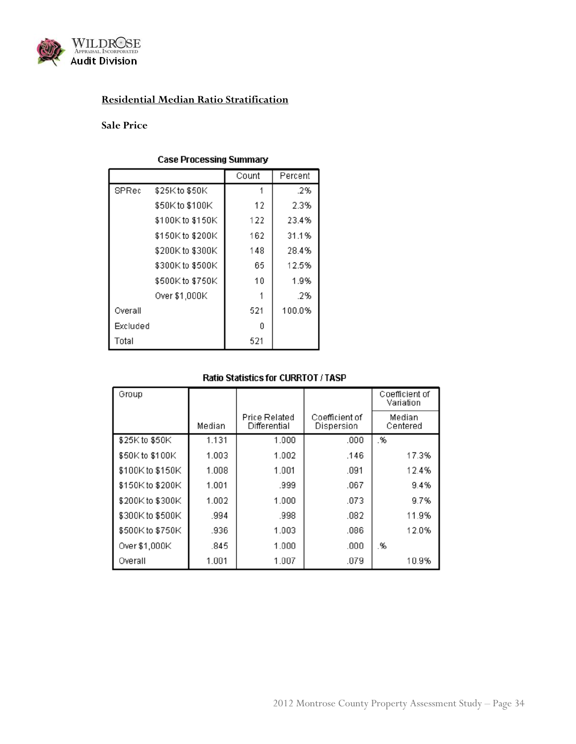

## **Residential Median Ratio Stratification**

#### **Sale Price**

#### **Case Processing Summary**

|          |                  | Count | Percent |
|----------|------------------|-------|---------|
| SPRec    | \$25K to \$50K   | 1     | .2%     |
|          | \$50K to \$100K  | 12    | 2.3%    |
|          | \$100K to \$150K | 122   | 23.4%   |
|          | \$150K to \$200K | 162   | 31.1%   |
|          | \$200K to \$300K | 148   | 28.4%   |
|          | \$300K to \$500K | 65    | 12.5%   |
|          | \$500K to \$750K | 10    | 1.9%    |
|          | Over \$1,000K    |       | .2%     |
| Overall  |                  | 521   | 100.0%  |
| Excluded |                  | ۵     |         |
| Total    |                  | 521   |         |

| Group            |        |                               |                              | Coefficient of<br>Variation |
|------------------|--------|-------------------------------|------------------------------|-----------------------------|
|                  | Median | Price Related<br>Differential | Coefficient of<br>Dispersion | Median<br>Centered          |
| \$25K to \$50K   | 1.131  | 1.000                         | .000                         | .%                          |
| \$50K to \$100K  | 1.003  | 1.002                         | .146                         | 17.3%                       |
| \$100K to \$150K | 1.008  | 1.001                         | .091                         | 12.4%                       |
| \$150K to \$200K | 1.001  | .999                          | .067                         | 9.4%                        |
| \$200K to \$300K | 1.002  | 1.000                         | .073                         | 9.7%                        |
| \$300K to \$500K | .994   | .998                          | .082                         | 11.9%                       |
| \$500K to \$750K | .936   | 1.003                         | .086                         | 12.0%                       |
| Over \$1,000K    | .845   | 1.000                         | .000                         | .%                          |
| Overall          | 1.001  | 1.007                         | .079                         | 10.9%                       |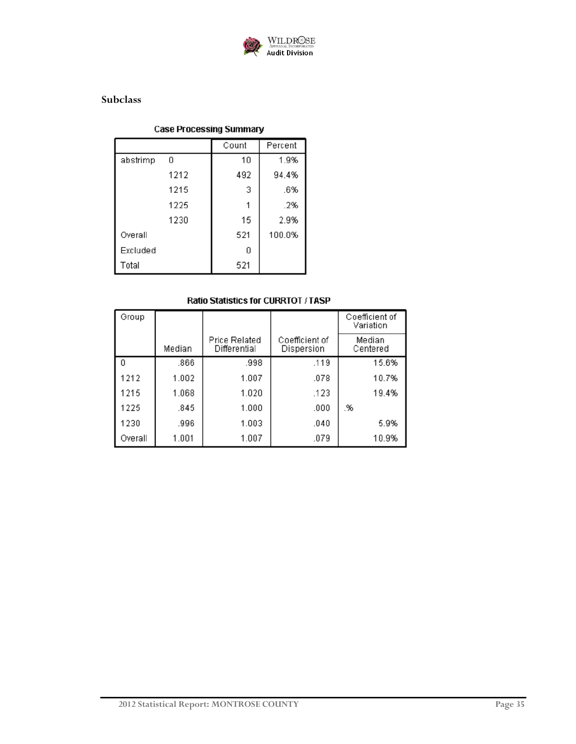

## **Subclass**

### **Case Processing Summary**

|          |      | Count | Percent |
|----------|------|-------|---------|
| abstrimp | 0    | 10    | 1.9%    |
|          | 1212 | 492   | 94.4%   |
|          | 1215 | 3     | .6%     |
|          | 1225 |       | .2%     |
|          | 1230 | 15    | 2.9%    |
| Overall  |      | 521   | 100.0%  |
| Excluded |      | n     |         |
| Total    |      | 521   |         |

| Group   |        |                                      |                              | Coefficient of<br>Variation |
|---------|--------|--------------------------------------|------------------------------|-----------------------------|
|         | Median | <b>Price Related</b><br>Differential | Coefficient of<br>Dispersion | Median<br>Centered          |
| 0       | .866   | .998                                 | .119                         | 15.6%                       |
| 1212    | 1.002  | 1.007                                | .078                         | 10.7%                       |
| 1215    | 1.068  | 1.020                                | .123                         | 19.4%                       |
| 1225    | .845   | 1.000                                | .000                         | .%                          |
| 1230    | .996   | 1.003                                | .040                         | 5.9%                        |
| Overall | 1.001  | 1.007                                | .079                         | 10.9%                       |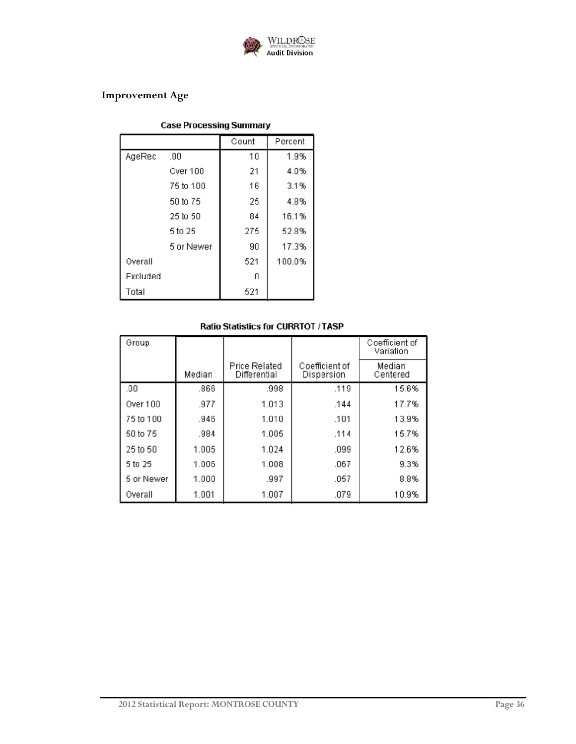

## **Improvement Age**

### **Case Processing Summary**

|          |            | Count | Percent |
|----------|------------|-------|---------|
| AgeRec   | .00        | 10    | 1.9%    |
|          | Over 100   | 21    | 4.0%    |
|          | 75 to 100  | 16    | 3.1%    |
|          | 50 to 75   | 25    | 4.8%    |
|          | 25 to 50   | 84    | 16.1%   |
|          | 5 to 25    | 275   | 52.8%   |
|          | 5 or Newer | 90    | 17.3%   |
| Overall  |            | 521   | 100.0%  |
| Excluded |            | n     |         |
| Total    |            | 521   |         |

| Group      |        |                               |                              | Coefficient of<br>Variation |
|------------|--------|-------------------------------|------------------------------|-----------------------------|
|            | Median | Price Related<br>Differential | Coefficient of<br>Dispersion | Median<br>Centered          |
| .00        | .866   | .998                          | .119                         | 15.6%                       |
| Over 100   | .977   | 1.013                         | .144                         | 17.7%                       |
| 75 to 100  | .946   | 1.010                         | .101                         | 13.9%                       |
| 50 to 75   | .984   | 1.005                         | .114                         | 15.7%                       |
| 25 to 50   | 1.005  | 1.024                         | .099                         | 12.6%                       |
| 5 to 25    | 1.006  | 1.008                         | .067                         | 9.3%                        |
| 5 or Newer | 1.000  | .997                          | .057                         | 8.8%                        |
| Overall    | 1.001  | 1.007                         | .079                         | 10.9%                       |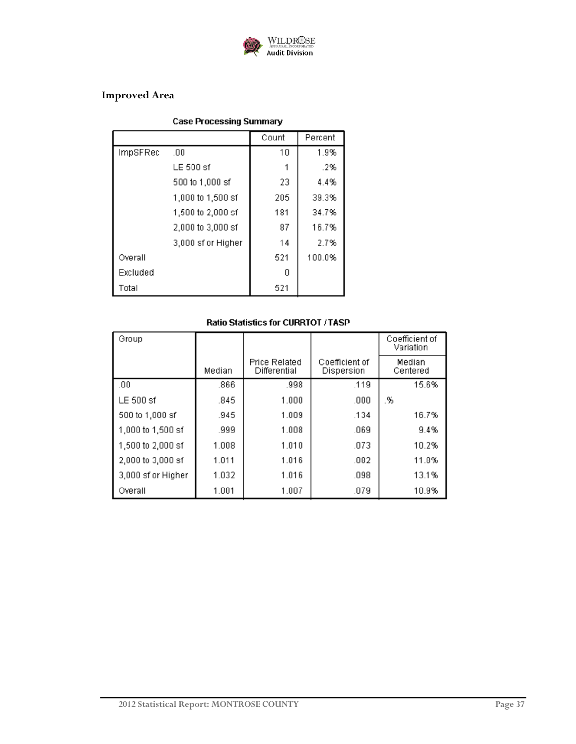

## **Improved Area**

## **Case Processing Summary**

|          |                    | Count | Percent |
|----------|--------------------|-------|---------|
| ImpSFRec | .00                | 10    | 1.9%    |
|          | LE 500 sf          |       | .2%     |
|          | 500 to 1,000 sf    | 23    | 4.4%    |
|          | 1,000 to 1,500 sf  | 205   | 39.3%   |
|          | 1,500 to 2,000 sf  | 181   | 34.7%   |
|          | 2,000 to 3,000 sf  | 87    | 16.7%   |
|          | 3,000 sf or Higher | 14    | 2.7%    |
| Overall  |                    | 521   | 100.0%  |
| Excluded |                    | n     |         |
| Total    |                    | 521   |         |

| Group              |        |                                      |                              | Coefficient of<br>Variation |
|--------------------|--------|--------------------------------------|------------------------------|-----------------------------|
|                    | Median | <b>Price Related</b><br>Differential | Coefficient of<br>Dispersion | Median<br>Centered          |
| .00                | .866   | .998                                 | .119                         | 15.6%                       |
| LE 500 sf          | .845   | 1.000                                | .000                         | .%                          |
| 500 to 1,000 sf    | .945   | 1.009                                | .134                         | 16.7%                       |
| 1,000 to 1,500 sf  | .999   | 1.008                                | .069                         | 9.4%                        |
| 1,500 to 2,000 sf  | 1.008  | 1.010                                | .073                         | 10.2%                       |
| 2,000 to 3,000 sf  | 1.011  | 1.016                                | .082                         | 11.8%                       |
| 3,000 sf or Higher | 1.032  | 1.016                                | .098                         | 13.1%                       |
| Overall            | 1.001  | 1.007                                | .079                         | 10.9%                       |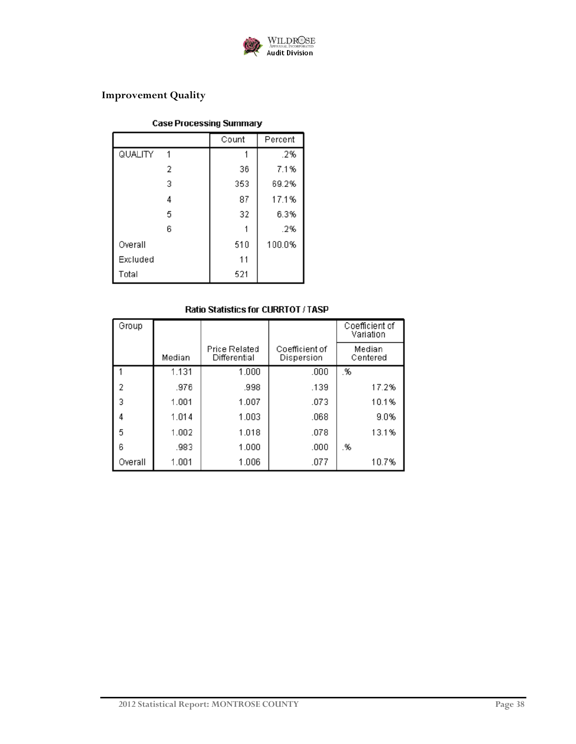

## **Improvement Quality**

## **Case Processing Summary**

|              | Count | Percent |
|--------------|-------|---------|
| QUALITY<br>1 |       | .2%     |
| 2            | 36    | 7.1%    |
| 3            | 353   | 69.2%   |
| 4            | 87    | 17.1%   |
| 5            | 32    | 6.3%    |
| 6            |       | .2%     |
| Overall      | 510   | 100.0%  |
| Excluded     | 11    |         |
| Total        | 521   |         |

| Group   |        |                                      |                              | Coefficient of<br>Variation |
|---------|--------|--------------------------------------|------------------------------|-----------------------------|
|         | Median | <b>Price Related</b><br>Differential | Coefficient of<br>Dispersion | Median<br>Centered          |
|         | 1.131  | 1.000                                | .000                         | .%                          |
| 2       | .976   | .998                                 | .139                         | 17.2%                       |
| 3       | 1.001  | 1.007                                | .073                         | 10.1%                       |
| 4       | 1.014  | 1.003                                | .068                         | 9.0%                        |
| 5       | 1.002  | 1.018                                | .078                         | 13.1%                       |
| 6       | .983   | 1.000                                | .000                         | .%                          |
| Overall | 1.001  | 1.006                                | .077                         | 10.7%                       |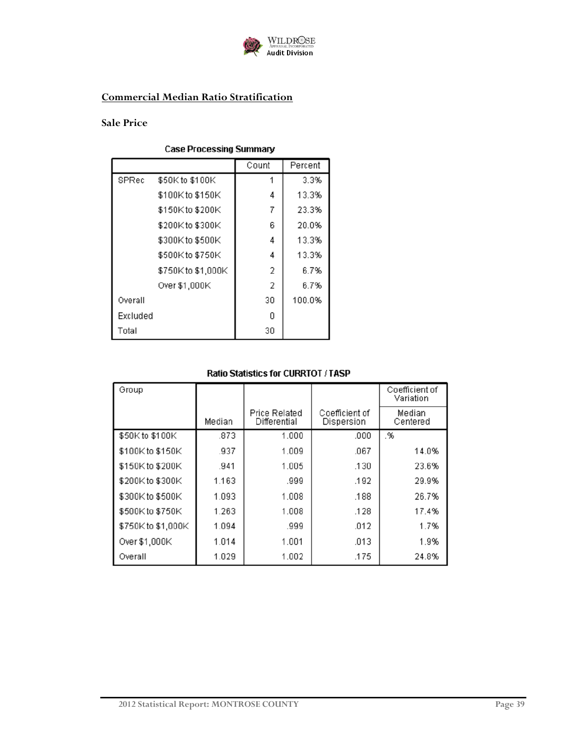

## **Commercial Median Ratio Stratification**

#### **Sale Price**

## **Case Processing Summary**

|          |                    | Count | Percent |
|----------|--------------------|-------|---------|
| SPRec    | \$50K to \$100K    |       | 3.3%    |
|          | \$100K to \$150K   | 4     | 13.3%   |
|          | \$150K to \$200K   | 7     | 23.3%   |
|          | \$200K to \$300K   | 6     | 20.0%   |
|          | \$300K to \$500K   | 4     | 13.3%   |
|          | \$500K to \$750K   | 4     | 13.3%   |
|          | \$750K to \$1,000K | 2     | 6.7%    |
|          | Over \$1,000K      | 2     | 6.7%    |
| Overall  |                    | 30    | 100.0%  |
| Excluded |                    | Ω     |         |
| Total    |                    | 30    |         |

| Group              |        |                               |                              | Coefficient of<br>Variation |
|--------------------|--------|-------------------------------|------------------------------|-----------------------------|
|                    | Median | Price Related<br>Differential | Coefficient of<br>Dispersion | Median<br>Centered          |
| \$50K to \$100K    | .873   | 1.000                         | .000                         | .%                          |
| \$100K to \$150K   | .937   | 1.009                         | .067                         | 14.0%                       |
| \$150K to \$200K   | .941   | 1.005                         | .130                         | 23.6%                       |
| \$200K to \$300K   | 1.163  | .999                          | .192                         | 29.9%                       |
| \$300K to \$500K   | 1.093  | 1.008                         | .188                         | 26.7%                       |
| \$500K to \$750K   | 1.263  | 1.008                         | .128                         | 17.4%                       |
| \$750K to \$1,000K | 1.094  | .999                          | .012                         | 1.7%                        |
| Over \$1,000K      | 1.014  | 1.001                         | .013                         | 1.9%                        |
| Overall            | 1.029  | 1.002                         | .175                         | 24.8%                       |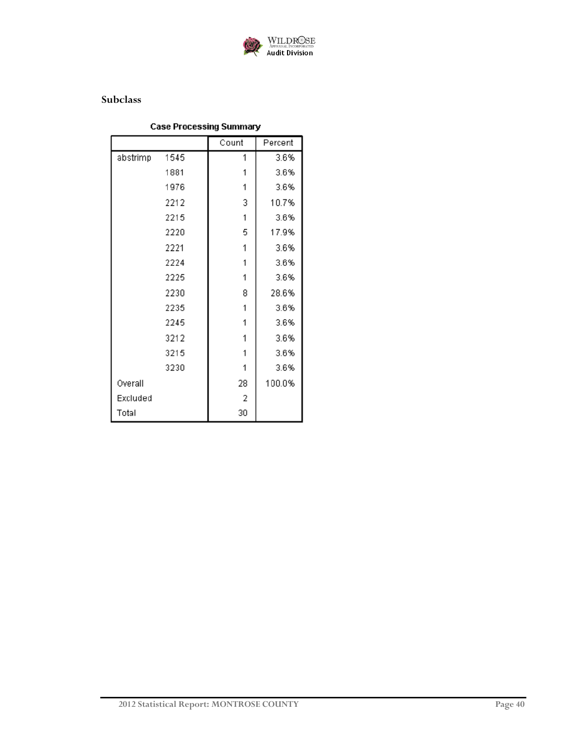

### **Subclass**

## **Case Processing Summary**

|          |      | Count | Percent |
|----------|------|-------|---------|
| abstrimp | 1545 | 1     | 3.6%    |
|          | 1881 | 1     | 3.6%    |
|          | 1976 | 1     | 3.6%    |
|          | 2212 | 3     | 10.7%   |
|          | 2215 | 1     | 3.6%    |
|          | 2220 | 5     | 17.9%   |
|          | 2221 | 1     | 3.6%    |
|          | 2224 | 1     | 3.6%    |
|          | 2225 | 1     | 3.6%    |
|          | 2230 | 8     | 28.6%   |
|          | 2235 | 1     | 3.6%    |
|          | 2245 | 1     | 3.6%    |
|          | 3212 | 1     | 3.6%    |
|          | 3215 | 1     | 3.6%    |
|          | 3230 | 1     | 3.6%    |
| Overall  |      | 28    | 100.0%  |
| Excluded |      | 2     |         |
| Total    |      | 30    |         |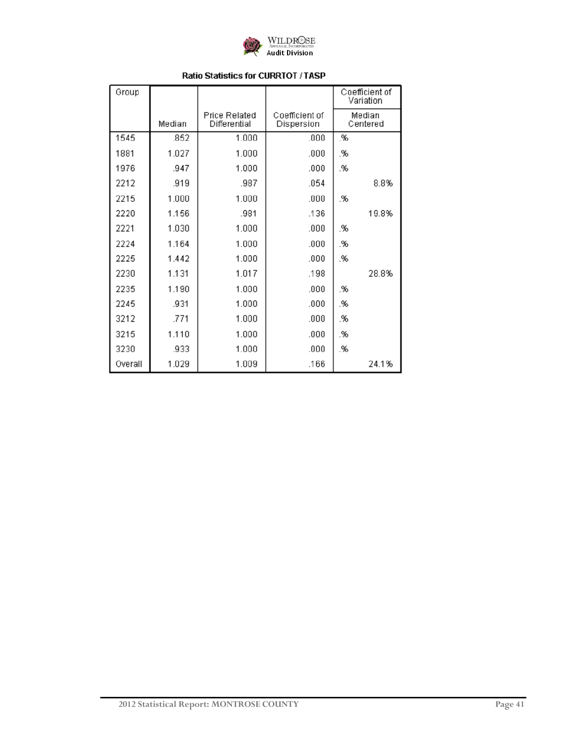

| Group   |        |                                      |                              | Coefficient of<br>Variation |                    |
|---------|--------|--------------------------------------|------------------------------|-----------------------------|--------------------|
|         | Median | <b>Price Related</b><br>Differential | Coefficient of<br>Dispersion |                             | Median<br>Centered |
| 1545    | .852   | 1.000                                | .000                         | .%                          |                    |
| 1881    | 1.027  | 1.000                                | .000                         | .%                          |                    |
| 1976    | .947   | 1.000                                | .000                         | .%                          |                    |
| 2212    | .919   | .987                                 | .054                         |                             | 8.8%               |
| 2215    | 1.000  | 1.000                                | .000                         | .%                          |                    |
| 2220    | 1.156  | .981                                 | .136                         |                             | 19.8%              |
| 2221    | 1.030  | 1.000                                | .000                         | .%                          |                    |
| 2224    | 1.164  | 1.000                                | .000                         | .%                          |                    |
| 2225    | 1.442  | 1.000                                | .000                         | .%                          |                    |
| 2230    | 1.131  | 1.017                                | .198                         |                             | 28.8%              |
| 2235    | 1.190  | 1.000                                | .000                         | .%                          |                    |
| 2245    | .931   | 1.000                                | .000                         | .%                          |                    |
| 3212    | .771   | 1.000                                | .000                         | .%                          |                    |
| 3215    | 1.110  | 1.000                                | .000                         | .%                          |                    |
| 3230    | .933   | 1.000                                | .000                         | .%                          |                    |
| Overall | 1.029  | 1.009                                | .166                         |                             | 24.1%              |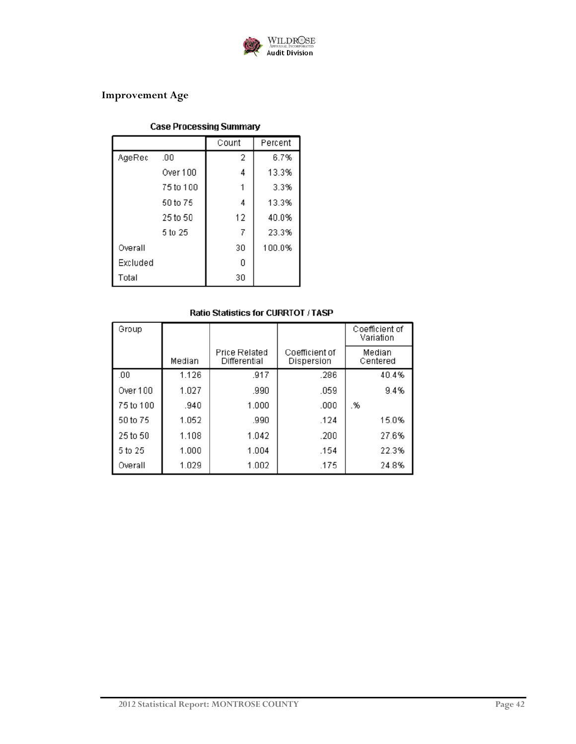

## **Improvement Age**

## **Case Processing Summary**

|          |           | Count | Percent |
|----------|-----------|-------|---------|
| AgeRec   | .00       | 2     | 6.7%    |
|          | Over 100  | 4     | 13.3%   |
|          | 75 to 100 |       | 3.3%    |
|          | 50 to 75  | 4     | 13.3%   |
|          | 25 to 50  | 12    | 40.0%   |
|          | 5 to 25   | 7     | 23.3%   |
| Overall  |           | 30    | 100.0%  |
| Excluded |           | 0     |         |
| Total    |           | 30    |         |

| Group     |        |                                      |                              | Coefficient of<br>Variation |
|-----------|--------|--------------------------------------|------------------------------|-----------------------------|
|           | Median | <b>Price Related</b><br>Differential | Coefficient of<br>Dispersion | Median<br>Centered          |
| .00       | 1.126  | .917                                 | .286                         | 40.4%                       |
| Over 100  | 1.027  | .990                                 | .059                         | 9.4%                        |
| 75 to 100 | .940   | 1.000                                | .000                         | .%                          |
| 50 to 75  | 1.052  | .990                                 | .124                         | 15.0%                       |
| 25 to 50  | 1.108  | 1.042                                | .200                         | 27.6%                       |
| 5 to 25   | 1.000  | 1.004                                | .154                         | 22.3%                       |
| Overall   | 1.029  | 1.002                                | .175                         | 24.8%                       |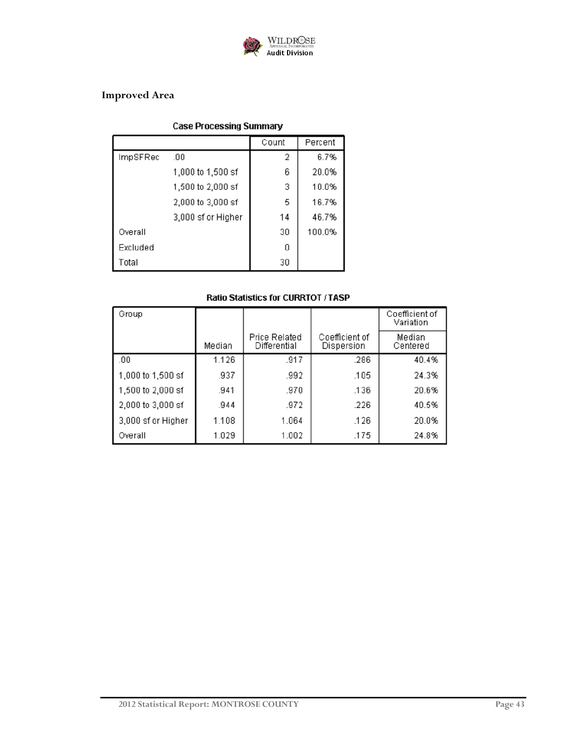

## **Improved Area**

## **Case Processing Summary**

|          |                    | Count | Percent |
|----------|--------------------|-------|---------|
| ImpSFRec | .00                | 2     | 6.7%    |
|          | 1,000 to 1,500 sf  | 6     | 20.0%   |
|          | 1,500 to 2,000 sf  | 3     | 10.0%   |
|          | 2,000 to 3,000 sf  | 5     | 16.7%   |
|          | 3,000 sf or Higher | 14    | 46.7%   |
| Overall  |                    | 30    | 100.0%  |
| Excluded |                    | 0     |         |
| Total    |                    | 30    |         |

| Group              |        |                                      |                              | Coefficient of<br>Variation |
|--------------------|--------|--------------------------------------|------------------------------|-----------------------------|
|                    | Median | <b>Price Related</b><br>Differential | Coefficient of<br>Dispersion | Median<br>Centered          |
| .00                | 1.126  | .917                                 | .286                         | 40.4%                       |
| 1,000 to 1,500 sf  | .937   | .992                                 | .105                         | 24.3%                       |
| 1,500 to 2,000 sf  | .941   | .970                                 | .136                         | 20.6%                       |
| 2,000 to 3,000 sf  | .944   | .972                                 | .226                         | 40.5%                       |
| 3,000 sf or Higher | 1.108  | 1.064                                | .126                         | 20.0%                       |
| Overall            | 1.029  | 1.002                                | .175                         | 24.8%                       |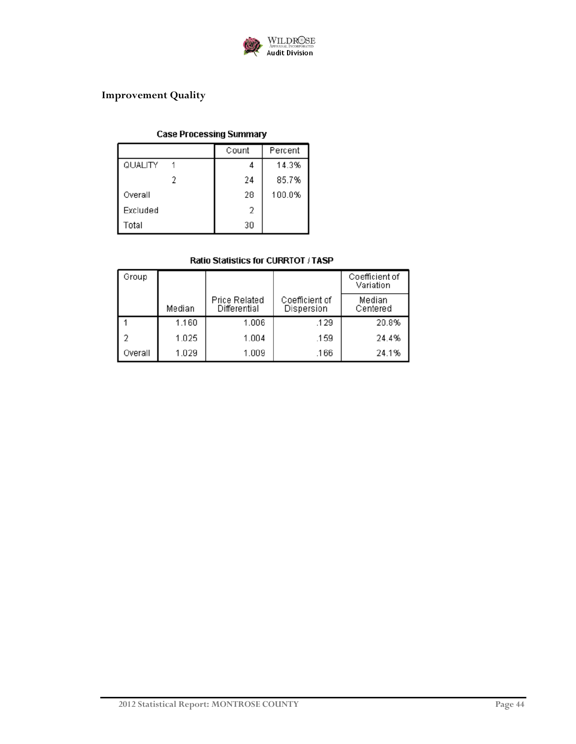

## **Improvement Quality**

### **Case Processing Summary**

|          | Count | Percent |
|----------|-------|---------|
| QUALITY  |       | 14.3%   |
|          | 24    | 85.7%   |
| Overall  | 28    | 100.0%  |
| Excluded | 2     |         |
| Total    | 30    |         |

| Group   |        |                                      |                              | Coefficient of<br>Variation |
|---------|--------|--------------------------------------|------------------------------|-----------------------------|
|         | Median | <b>Price Related</b><br>Differential | Coefficient of<br>Dispersion | Median<br>Centered          |
|         | 1.160  | 1.006                                | .129                         | 20.8%                       |
|         | 1.025  | 1.004                                | .159                         | 24.4%                       |
| Overall | 1.029  | 1.009                                | .166                         | 24.1%                       |